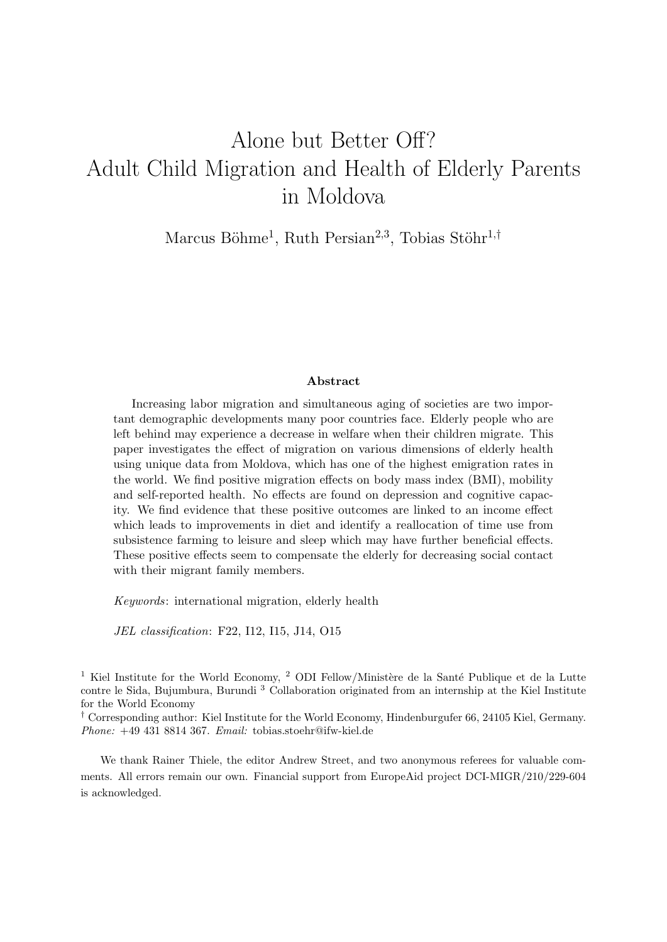# <span id="page-0-0"></span>Alone but Better Off? Adult Child Migration and Health of Elderly Parents in Moldova

Marcus Böhme<sup>1</sup>, Ruth Persian<sup>2,3</sup>, Tobias Stöhr<sup>1,†</sup>

#### Abstract

Increasing labor migration and simultaneous aging of societies are two important demographic developments many poor countries face. Elderly people who are left behind may experience a decrease in welfare when their children migrate. This paper investigates the effect of migration on various dimensions of elderly health using unique data from Moldova, which has one of the highest emigration rates in the world. We find positive migration effects on body mass index (BMI), mobility and self-reported health. No effects are found on depression and cognitive capacity. We find evidence that these positive outcomes are linked to an income effect which leads to improvements in diet and identify a reallocation of time use from subsistence farming to leisure and sleep which may have further beneficial effects. These positive effects seem to compensate the elderly for decreasing social contact with their migrant family members.

Keywords: international migration, elderly health

JEL classification: F22, I12, I15, J14, O15

† Corresponding author: Kiel Institute for the World Economy, Hindenburgufer 66, 24105 Kiel, Germany. Phone: +49 431 8814 367. Email: tobias.stoehr@ifw-kiel.de

We thank Rainer Thiele, the editor Andrew Street, and two anonymous referees for valuable comments. All errors remain our own. Financial support from EuropeAid project DCI-MIGR/210/229-604 is acknowledged.

<sup>&</sup>lt;sup>1</sup> Kiel Institute for the World Economy, <sup>2</sup> ODI Fellow/Ministère de la Santé Publique et de la Lutte contre le Sida, Bujumbura, Burundi <sup>3</sup> Collaboration originated from an internship at the Kiel Institute for the World Economy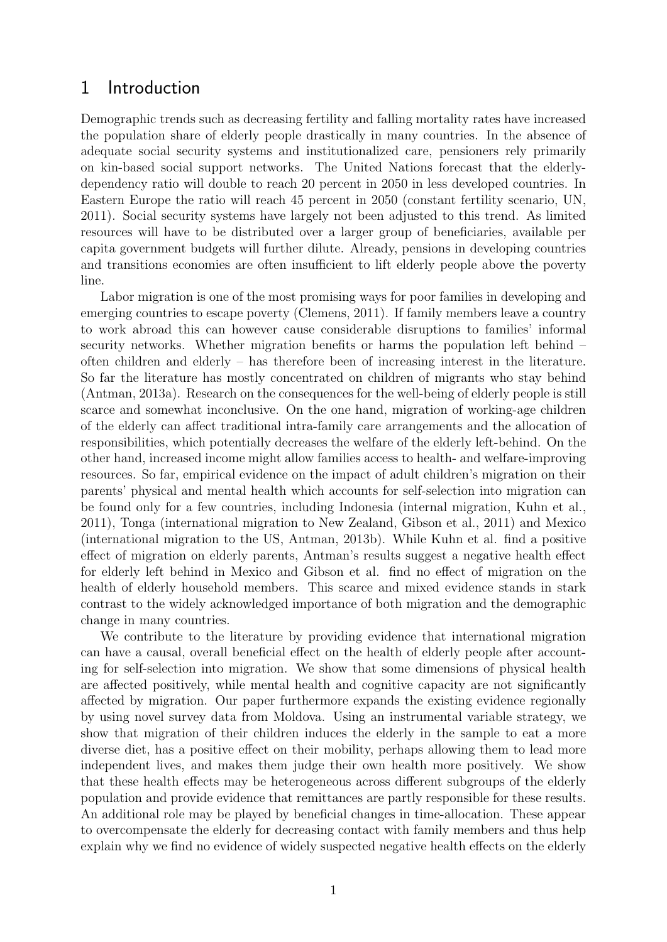## 1 Introduction

Demographic trends such as decreasing fertility and falling mortality rates have increased the population share of elderly people drastically in many countries. In the absence of adequate social security systems and institutionalized care, pensioners rely primarily on kin-based social support networks. The United Nations forecast that the elderlydependency ratio will double to reach 20 percent in 2050 in less developed countries. In Eastern Europe the ratio will reach 45 percent in 2050 (constant fertility scenario, [UN,](#page-22-0) [2011\)](#page-22-0). Social security systems have largely not been adjusted to this trend. As limited resources will have to be distributed over a larger group of beneficiaries, available per capita government budgets will further dilute. Already, pensions in developing countries and transitions economies are often insufficient to lift elderly people above the poverty line.

Labor migration is one of the most promising ways for poor families in developing and emerging countries to escape poverty [\(Clemens, 2011\)](#page-20-0). If family members leave a country to work abroad this can however cause considerable disruptions to families' informal security networks. Whether migration benefits or harms the population left behind – often children and elderly – has therefore been of increasing interest in the literature. So far the literature has mostly concentrated on children of migrants who stay behind [\(Antman, 2013a\)](#page-20-1). Research on the consequences for the well-being of elderly people is still scarce and somewhat inconclusive. On the one hand, migration of working-age children of the elderly can affect traditional intra-family care arrangements and the allocation of responsibilities, which potentially decreases the welfare of the elderly left-behind. On the other hand, increased income might allow families access to health- and welfare-improving resources. So far, empirical evidence on the impact of adult children's migration on their parents' physical and mental health which accounts for self-selection into migration can be found only for a few countries, including Indonesia (internal migration, [Kuhn et al.,](#page-21-0) [2011\)](#page-21-0), Tonga (international migration to New Zealand, [Gibson et al., 2011\)](#page-21-1) and Mexico (international migration to the US, [Antman, 2013b\)](#page-20-2). While Kuhn et al. find a positive effect of migration on elderly parents, Antman's results suggest a negative health effect for elderly left behind in Mexico and Gibson et al. find no effect of migration on the health of elderly household members. This scarce and mixed evidence stands in stark contrast to the widely acknowledged importance of both migration and the demographic change in many countries.

We contribute to the literature by providing evidence that international migration can have a causal, overall beneficial effect on the health of elderly people after accounting for self-selection into migration. We show that some dimensions of physical health are affected positively, while mental health and cognitive capacity are not significantly affected by migration. Our paper furthermore expands the existing evidence regionally by using novel survey data from Moldova. Using an instrumental variable strategy, we show that migration of their children induces the elderly in the sample to eat a more diverse diet, has a positive effect on their mobility, perhaps allowing them to lead more independent lives, and makes them judge their own health more positively. We show that these health effects may be heterogeneous across different subgroups of the elderly population and provide evidence that remittances are partly responsible for these results. An additional role may be played by beneficial changes in time-allocation. These appear to overcompensate the elderly for decreasing contact with family members and thus help explain why we find no evidence of widely suspected negative health effects on the elderly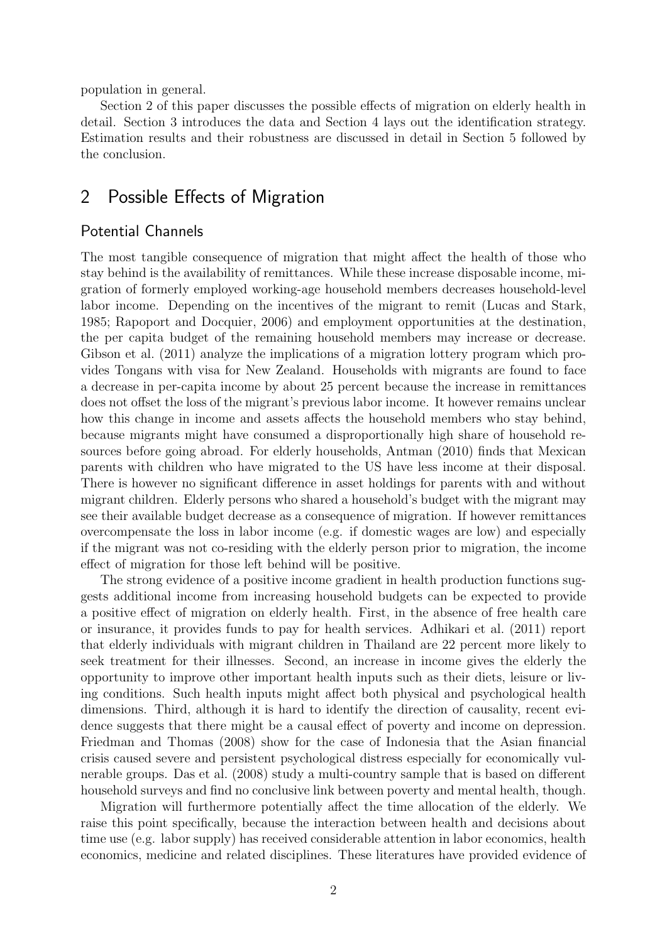population in general.

Section 2 of this paper discusses the possible effects of migration on elderly health in detail. Section 3 introduces the data and Section 4 lays out the identification strategy. Estimation results and their robustness are discussed in detail in Section 5 followed by the conclusion.

# 2 Possible Effects of Migration

#### Potential Channels

The most tangible consequence of migration that might affect the health of those who stay behind is the availability of remittances. While these increase disposable income, migration of formerly employed working-age household members decreases household-level labor income. Depending on the incentives of the migrant to remit [\(Lucas and Stark,](#page-21-2) [1985;](#page-21-2) [Rapoport and Docquier, 2006\)](#page-22-1) and employment opportunities at the destination, the per capita budget of the remaining household members may increase or decrease. [Gibson et al.](#page-21-1) [\(2011\)](#page-21-1) analyze the implications of a migration lottery program which provides Tongans with visa for New Zealand. Households with migrants are found to face a decrease in per-capita income by about 25 percent because the increase in remittances does not offset the loss of the migrant's previous labor income. It however remains unclear how this change in income and assets affects the household members who stay behind, because migrants might have consumed a disproportionally high share of household resources before going abroad. For elderly households, [Antman](#page-20-3) [\(2010\)](#page-20-3) finds that Mexican parents with children who have migrated to the US have less income at their disposal. There is however no significant difference in asset holdings for parents with and without migrant children. Elderly persons who shared a household's budget with the migrant may see their available budget decrease as a consequence of migration. If however remittances overcompensate the loss in labor income (e.g. if domestic wages are low) and especially if the migrant was not co-residing with the elderly person prior to migration, the income effect of migration for those left behind will be positive.

The strong evidence of a positive income gradient in health production functions suggests additional income from increasing household budgets can be expected to provide a positive effect of migration on elderly health. First, in the absence of free health care or insurance, it provides funds to pay for health services. [Adhikari et al.](#page-20-4) [\(2011\)](#page-20-4) report that elderly individuals with migrant children in Thailand are 22 percent more likely to seek treatment for their illnesses. Second, an increase in income gives the elderly the opportunity to improve other important health inputs such as their diets, leisure or living conditions. Such health inputs might affect both physical and psychological health dimensions. Third, although it is hard to identify the direction of causality, recent evidence suggests that there might be a causal effect of poverty and income on depression. [Friedman and Thomas](#page-20-5) [\(2008\)](#page-20-5) show for the case of Indonesia that the Asian financial crisis caused severe and persistent psychological distress especially for economically vulnerable groups. [Das et al.](#page-20-6) [\(2008\)](#page-20-6) study a multi-country sample that is based on different household surveys and find no conclusive link between poverty and mental health, though.

Migration will furthermore potentially affect the time allocation of the elderly. We raise this point specifically, because the interaction between health and decisions about time use (e.g. labor supply) has received considerable attention in labor economics, health economics, medicine and related disciplines. These literatures have provided evidence of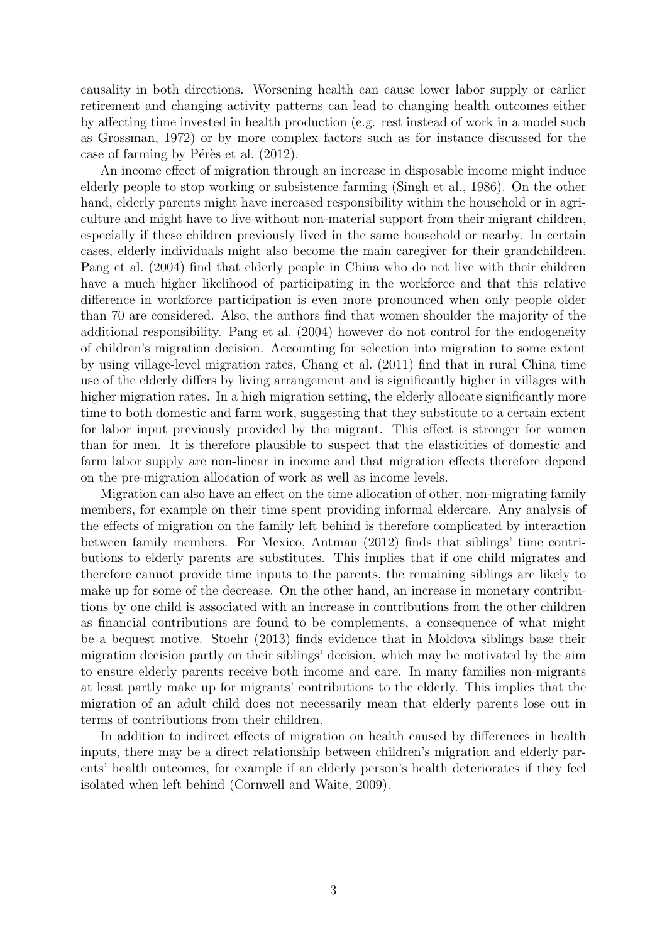causality in both directions. Worsening health can cause lower labor supply or earlier retirement and changing activity patterns can lead to changing health outcomes either by affecting time invested in health production (e.g. rest instead of work in a model such as [Grossman, 1972\)](#page-21-3) or by more complex factors such as for instance discussed for the case of farming by Pérès et al.  $(2012)$ .

An income effect of migration through an increase in disposable income might induce elderly people to stop working or subsistence farming [\(Singh et al., 1986\)](#page-22-2). On the other hand, elderly parents might have increased responsibility within the household or in agriculture and might have to live without non-material support from their migrant children, especially if these children previously lived in the same household or nearby. In certain cases, elderly individuals might also become the main caregiver for their grandchildren. [Pang et al.](#page-21-5) [\(2004\)](#page-21-5) find that elderly people in China who do not live with their children have a much higher likelihood of participating in the workforce and that this relative difference in workforce participation is even more pronounced when only people older than 70 are considered. Also, the authors find that women shoulder the majority of the additional responsibility. [Pang et al.](#page-21-5) [\(2004\)](#page-21-5) however do not control for the endogeneity of children's migration decision. Accounting for selection into migration to some extent by using village-level migration rates, [Chang et al.](#page-20-7) [\(2011\)](#page-20-7) find that in rural China time use of the elderly differs by living arrangement and is significantly higher in villages with higher migration rates. In a high migration setting, the elderly allocate significantly more time to both domestic and farm work, suggesting that they substitute to a certain extent for labor input previously provided by the migrant. This effect is stronger for women than for men. It is therefore plausible to suspect that the elasticities of domestic and farm labor supply are non-linear in income and that migration effects therefore depend on the pre-migration allocation of work as well as income levels.

Migration can also have an effect on the time allocation of other, non-migrating family members, for example on their time spent providing informal eldercare. Any analysis of the effects of migration on the family left behind is therefore complicated by interaction between family members. For Mexico, [Antman](#page-20-8) [\(2012\)](#page-20-8) finds that siblings' time contributions to elderly parents are substitutes. This implies that if one child migrates and therefore cannot provide time inputs to the parents, the remaining siblings are likely to make up for some of the decrease. On the other hand, an increase in monetary contributions by one child is associated with an increase in contributions from the other children as financial contributions are found to be complements, a consequence of what might be a bequest motive. [Stoehr](#page-22-3) [\(2013\)](#page-22-3) finds evidence that in Moldova siblings base their migration decision partly on their siblings' decision, which may be motivated by the aim to ensure elderly parents receive both income and care. In many families non-migrants at least partly make up for migrants' contributions to the elderly. This implies that the migration of an adult child does not necessarily mean that elderly parents lose out in terms of contributions from their children.

In addition to indirect effects of migration on health caused by differences in health inputs, there may be a direct relationship between children's migration and elderly parents' health outcomes, for example if an elderly person's health deteriorates if they feel isolated when left behind [\(Cornwell and Waite, 2009\)](#page-20-9).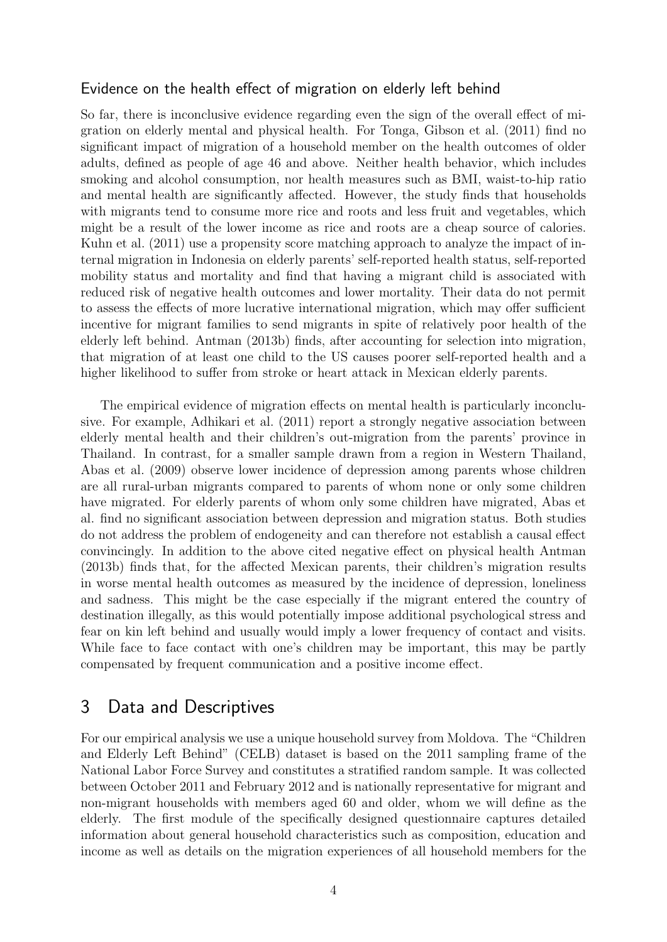### Evidence on the health effect of migration on elderly left behind

So far, there is inconclusive evidence regarding even the sign of the overall effect of migration on elderly mental and physical health. For Tonga, [Gibson et al.](#page-21-1) [\(2011\)](#page-21-1) find no significant impact of migration of a household member on the health outcomes of older adults, defined as people of age 46 and above. Neither health behavior, which includes smoking and alcohol consumption, nor health measures such as BMI, waist-to-hip ratio and mental health are significantly affected. However, the study finds that households with migrants tend to consume more rice and roots and less fruit and vegetables, which might be a result of the lower income as rice and roots are a cheap source of calories. [Kuhn et al.](#page-21-0) [\(2011\)](#page-21-0) use a propensity score matching approach to analyze the impact of internal migration in Indonesia on elderly parents' self-reported health status, self-reported mobility status and mortality and find that having a migrant child is associated with reduced risk of negative health outcomes and lower mortality. Their data do not permit to assess the effects of more lucrative international migration, which may offer sufficient incentive for migrant families to send migrants in spite of relatively poor health of the elderly left behind. [Antman](#page-20-2) [\(2013b\)](#page-20-2) finds, after accounting for selection into migration, that migration of at least one child to the US causes poorer self-reported health and a higher likelihood to suffer from stroke or heart attack in Mexican elderly parents.

The empirical evidence of migration effects on mental health is particularly inconclusive. For example, [Adhikari et al.](#page-20-4) [\(2011\)](#page-20-4) report a strongly negative association between elderly mental health and their children's out-migration from the parents' province in Thailand. In contrast, for a smaller sample drawn from a region in Western Thailand, [Abas et al.](#page-20-10) [\(2009\)](#page-20-10) observe lower incidence of depression among parents whose children are all rural-urban migrants compared to parents of whom none or only some children have migrated. For elderly parents of whom only some children have migrated, Abas et al. find no significant association between depression and migration status. Both studies do not address the problem of endogeneity and can therefore not establish a causal effect convincingly. In addition to the above cited negative effect on physical health [Antman](#page-20-2) [\(2013b\)](#page-20-2) finds that, for the affected Mexican parents, their children's migration results in worse mental health outcomes as measured by the incidence of depression, loneliness and sadness. This might be the case especially if the migrant entered the country of destination illegally, as this would potentially impose additional psychological stress and fear on kin left behind and usually would imply a lower frequency of contact and visits. While face to face contact with one's children may be important, this may be partly compensated by frequent communication and a positive income effect.

# 3 Data and Descriptives

For our empirical analysis we use a unique household survey from Moldova. The "Children and Elderly Left Behind" (CELB) dataset is based on the 2011 sampling frame of the National Labor Force Survey and constitutes a stratified random sample. It was collected between October 2011 and February 2012 and is nationally representative for migrant and non-migrant households with members aged 60 and older, whom we will define as the elderly. The first module of the specifically designed questionnaire captures detailed information about general household characteristics such as composition, education and income as well as details on the migration experiences of all household members for the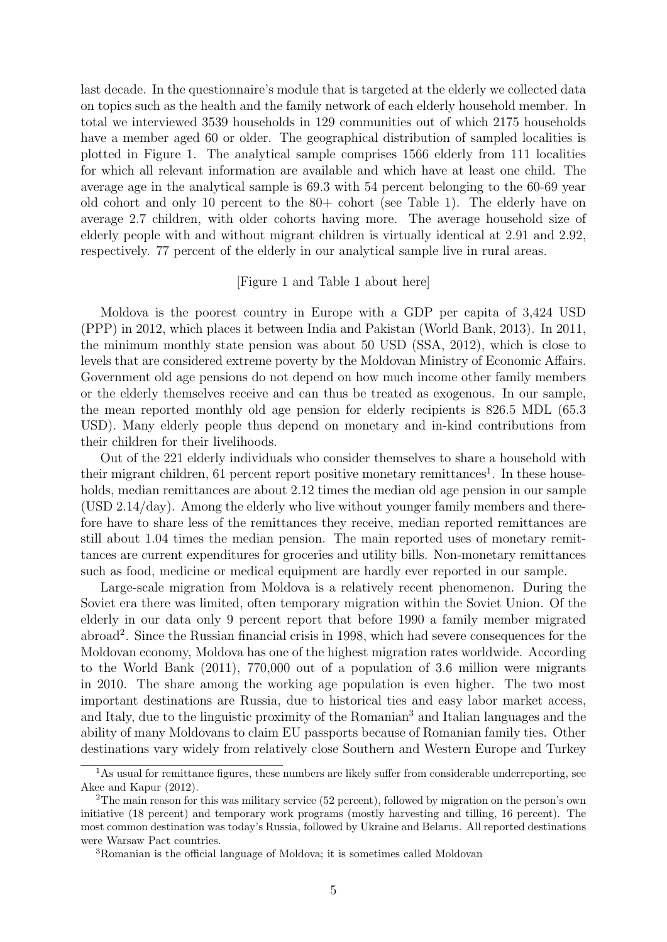last decade. In the questionnaire's module that is targeted at the elderly we collected data on topics such as the health and the family network of each elderly household member. In total we interviewed 3539 households in 129 communities out of which 2175 households have a member aged 60 or older. The geographical distribution of sampled localities is plotted in Figure [1.](#page-23-0) The analytical sample comprises 1566 elderly from 111 localities for which all relevant information are available and which have at least one child. The average age in the analytical sample is 69.3 with 54 percent belonging to the 60-69 year old cohort and only 10 percent to the 80+ cohort (see Table [1\)](#page-25-0). The elderly have on average 2.7 children, with older cohorts having more. The average household size of elderly people with and without migrant children is virtually identical at 2.91 and 2.92, respectively. 77 percent of the elderly in our analytical sample live in rural areas.

#### [Figure [1](#page-23-0) and Table [1](#page-25-0) about here]

Moldova is the poorest country in Europe with a GDP per capita of 3,424 USD (PPP) in 2012, which places it between India and Pakistan [\(World Bank, 2013\)](#page-22-4). In 2011, the minimum monthly state pension was about 50 USD [\(SSA, 2012\)](#page-22-5), which is close to levels that are considered extreme poverty by the Moldovan Ministry of Economic Affairs. Government old age pensions do not depend on how much income other family members or the elderly themselves receive and can thus be treated as exogenous. In our sample, the mean reported monthly old age pension for elderly recipients is 826.5 MDL (65.3 USD). Many elderly people thus depend on monetary and in-kind contributions from their children for their livelihoods.

Out of the 221 elderly individuals who consider themselves to share a household with their migrant children, 6[1](#page-0-0) percent report positive monetary remittances<sup>1</sup>. In these households, median remittances are about 2.12 times the median old age pension in our sample (USD 2.14/day). Among the elderly who live without younger family members and therefore have to share less of the remittances they receive, median reported remittances are still about 1.04 times the median pension. The main reported uses of monetary remittances are current expenditures for groceries and utility bills. Non-monetary remittances such as food, medicine or medical equipment are hardly ever reported in our sample.

Large-scale migration from Moldova is a relatively recent phenomenon. During the Soviet era there was limited, often temporary migration within the Soviet Union. Of the elderly in our data only 9 percent report that before 1990 a family member migrated abroad<sup>[2](#page-0-0)</sup>. Since the Russian financial crisis in 1998, which had severe consequences for the Moldovan economy, Moldova has one of the highest migration rates worldwide. According to the World Bank (2011), 770,000 out of a population of 3.6 million were migrants in 2010. The share among the working age population is even higher. The two most important destinations are Russia, due to historical ties and easy labor market access, and Italy, due to the linguistic proximity of the Romanian<sup>[3](#page-0-0)</sup> and Italian languages and the ability of many Moldovans to claim EU passports because of Romanian family ties. Other destinations vary widely from relatively close Southern and Western Europe and Turkey

<sup>&</sup>lt;sup>1</sup>As usual for remittance figures, these numbers are likely suffer from considerable underreporting, see [Akee and Kapur](#page-20-11) [\(2012\)](#page-20-11).

<sup>2</sup>The main reason for this was military service (52 percent), followed by migration on the person's own initiative (18 percent) and temporary work programs (mostly harvesting and tilling, 16 percent). The most common destination was today's Russia, followed by Ukraine and Belarus. All reported destinations were Warsaw Pact countries.

<sup>3</sup>Romanian is the official language of Moldova; it is sometimes called Moldovan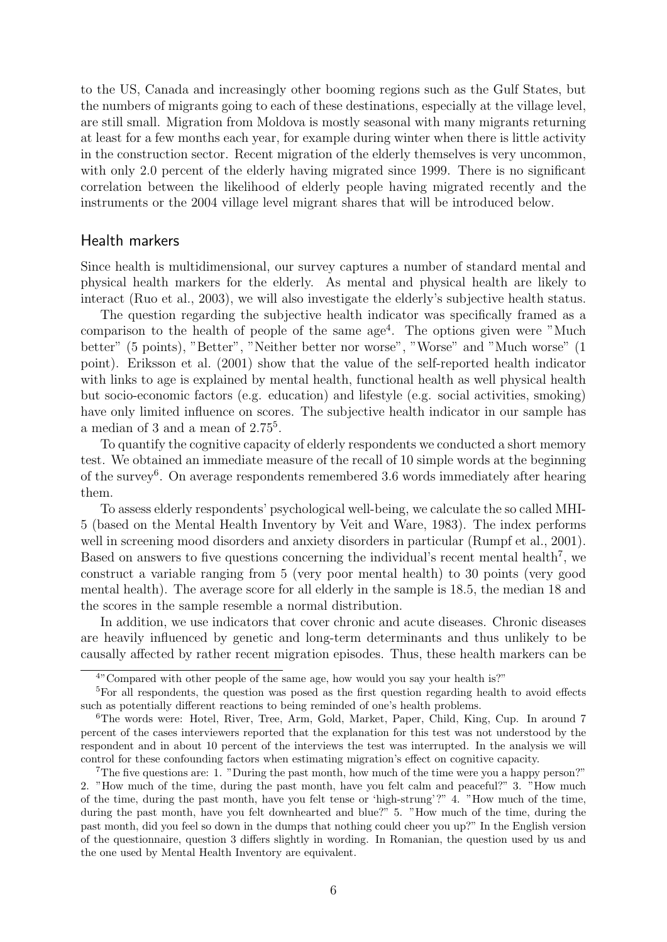to the US, Canada and increasingly other booming regions such as the Gulf States, but the numbers of migrants going to each of these destinations, especially at the village level, are still small. Migration from Moldova is mostly seasonal with many migrants returning at least for a few months each year, for example during winter when there is little activity in the construction sector. Recent migration of the elderly themselves is very uncommon, with only 2.0 percent of the elderly having migrated since 1999. There is no significant correlation between the likelihood of elderly people having migrated recently and the instruments or the 2004 village level migrant shares that will be introduced below.

#### Health markers

Since health is multidimensional, our survey captures a number of standard mental and physical health markers for the elderly. As mental and physical health are likely to interact [\(Ruo et al., 2003\)](#page-22-6), we will also investigate the elderly's subjective health status.

The question regarding the subjective health indicator was specifically framed as a comparison to the health of people of the same  $age<sup>4</sup>$  $age<sup>4</sup>$  $age<sup>4</sup>$ . The options given were "Much better" (5 points), "Better", "Neither better nor worse", "Worse" and "Much worse" (1 point). [Eriksson et al.](#page-20-12) [\(2001\)](#page-20-12) show that the value of the self-reported health indicator with links to age is explained by mental health, functional health as well physical health but socio-economic factors (e.g. education) and lifestyle (e.g. social activities, smoking) have only limited influence on scores. The subjective health indicator in our sample has a median of 3 and a mean of  $2.75<sup>5</sup>$  $2.75<sup>5</sup>$  $2.75<sup>5</sup>$ .

To quantify the cognitive capacity of elderly respondents we conducted a short memory test. We obtained an immediate measure of the recall of 10 simple words at the beginning of the survey<sup>[6](#page-0-0)</sup>. On average respondents remembered 3.6 words immediately after hearing them.

To assess elderly respondents' psychological well-being, we calculate the so called MHI-5 (based on the Mental Health Inventory by [Veit and Ware, 1983\)](#page-22-7). The index performs well in screening mood disorders and anxiety disorders in particular [\(Rumpf et al., 2001\)](#page-22-8). Based on answers to five questions concerning the individual's recent mental health<sup>[7](#page-0-0)</sup>, we construct a variable ranging from 5 (very poor mental health) to 30 points (very good mental health). The average score for all elderly in the sample is 18.5, the median 18 and the scores in the sample resemble a normal distribution.

In addition, we use indicators that cover chronic and acute diseases. Chronic diseases are heavily influenced by genetic and long-term determinants and thus unlikely to be causally affected by rather recent migration episodes. Thus, these health markers can be

<sup>&</sup>lt;sup>4</sup>"Compared with other people of the same age, how would you say your health is?"

<sup>&</sup>lt;sup>5</sup>For all respondents, the question was posed as the first question regarding health to avoid effects such as potentially different reactions to being reminded of one's health problems.

<sup>6</sup>The words were: Hotel, River, Tree, Arm, Gold, Market, Paper, Child, King, Cup. In around 7 percent of the cases interviewers reported that the explanation for this test was not understood by the respondent and in about 10 percent of the interviews the test was interrupted. In the analysis we will control for these confounding factors when estimating migration's effect on cognitive capacity.

<sup>&</sup>lt;sup>7</sup>The five questions are: 1. "During the past month, how much of the time were you a happy person?" 2. "How much of the time, during the past month, have you felt calm and peaceful?" 3. "How much of the time, during the past month, have you felt tense or 'high-strung'?" 4. "How much of the time, during the past month, have you felt downhearted and blue?" 5. "How much of the time, during the past month, did you feel so down in the dumps that nothing could cheer you up?" In the English version of the questionnaire, question 3 differs slightly in wording. In Romanian, the question used by us and the one used by Mental Health Inventory are equivalent.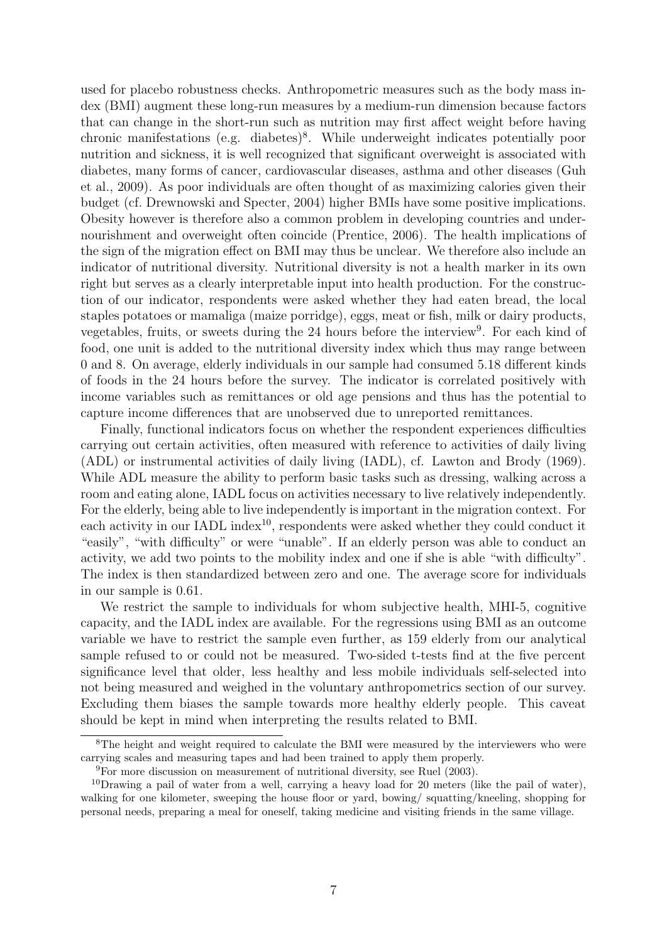used for placebo robustness checks. Anthropometric measures such as the body mass index (BMI) augment these long-run measures by a medium-run dimension because factors that can change in the short-run such as nutrition may first affect weight before having chronic manifestations (e.g. diabetes)<sup>[8](#page-0-0)</sup>. While underweight indicates potentially poor nutrition and sickness, it is well recognized that significant overweight is associated with diabetes, many forms of cancer, cardiovascular diseases, asthma and other diseases [\(Guh](#page-21-6) [et al., 2009\)](#page-21-6). As poor individuals are often thought of as maximizing calories given their budget (cf. [Drewnowski and Specter, 2004\)](#page-20-13) higher BMIs have some positive implications. Obesity however is therefore also a common problem in developing countries and undernourishment and overweight often coincide [\(Prentice, 2006\)](#page-22-9). The health implications of the sign of the migration effect on BMI may thus be unclear. We therefore also include an indicator of nutritional diversity. Nutritional diversity is not a health marker in its own right but serves as a clearly interpretable input into health production. For the construction of our indicator, respondents were asked whether they had eaten bread, the local staples potatoes or mamaliga (maize porridge), eggs, meat or fish, milk or dairy products, vegetables, fruits, or sweets during the 24 hours before the interview<sup>[9](#page-0-0)</sup>. For each kind of food, one unit is added to the nutritional diversity index which thus may range between 0 and 8. On average, elderly individuals in our sample had consumed 5.18 different kinds of foods in the 24 hours before the survey. The indicator is correlated positively with income variables such as remittances or old age pensions and thus has the potential to capture income differences that are unobserved due to unreported remittances.

Finally, functional indicators focus on whether the respondent experiences difficulties carrying out certain activities, often measured with reference to activities of daily living (ADL) or instrumental activities of daily living (IADL), cf. [Lawton and Brody](#page-21-7) [\(1969\)](#page-21-7). While ADL measure the ability to perform basic tasks such as dressing, walking across a room and eating alone, IADL focus on activities necessary to live relatively independently. For the elderly, being able to live independently is important in the migration context. For each activity in our IADL index<sup>[10](#page-0-0)</sup>, respondents were asked whether they could conduct it "easily", "with difficulty" or were "unable". If an elderly person was able to conduct an activity, we add two points to the mobility index and one if she is able "with difficulty". The index is then standardized between zero and one. The average score for individuals in our sample is 0.61.

We restrict the sample to individuals for whom subjective health, MHI-5, cognitive capacity, and the IADL index are available. For the regressions using BMI as an outcome variable we have to restrict the sample even further, as 159 elderly from our analytical sample refused to or could not be measured. Two-sided t-tests find at the five percent significance level that older, less healthy and less mobile individuals self-selected into not being measured and weighed in the voluntary anthropometrics section of our survey. Excluding them biases the sample towards more healthy elderly people. This caveat should be kept in mind when interpreting the results related to BMI.

<sup>&</sup>lt;sup>8</sup>The height and weight required to calculate the BMI were measured by the interviewers who were carrying scales and measuring tapes and had been trained to apply them properly.

 $9$ For more discussion on measurement of nutritional diversity, see [Ruel](#page-22-10) [\(2003\)](#page-22-10).

<sup>&</sup>lt;sup>10</sup>Drawing a pail of water from a well, carrying a heavy load for 20 meters (like the pail of water), walking for one kilometer, sweeping the house floor or yard, bowing/ squatting/kneeling, shopping for personal needs, preparing a meal for oneself, taking medicine and visiting friends in the same village.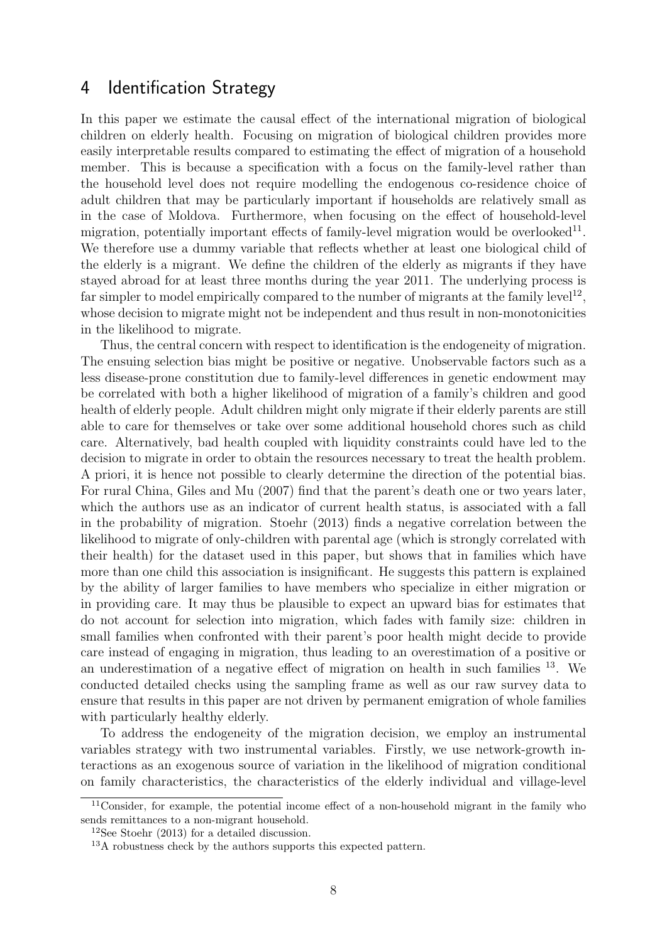# 4 Identification Strategy

In this paper we estimate the causal effect of the international migration of biological children on elderly health. Focusing on migration of biological children provides more easily interpretable results compared to estimating the effect of migration of a household member. This is because a specification with a focus on the family-level rather than the household level does not require modelling the endogenous co-residence choice of adult children that may be particularly important if households are relatively small as in the case of Moldova. Furthermore, when focusing on the effect of household-level migration, potentially important effects of family-level migration would be overlooked $11$ . We therefore use a dummy variable that reflects whether at least one biological child of the elderly is a migrant. We define the children of the elderly as migrants if they have stayed abroad for at least three months during the year 2011. The underlying process is far simpler to model empirically compared to the number of migrants at the family level<sup>[12](#page-0-0)</sup>, whose decision to migrate might not be independent and thus result in non-monotonicities in the likelihood to migrate.

Thus, the central concern with respect to identification is the endogeneity of migration. The ensuing selection bias might be positive or negative. Unobservable factors such as a less disease-prone constitution due to family-level differences in genetic endowment may be correlated with both a higher likelihood of migration of a family's children and good health of elderly people. Adult children might only migrate if their elderly parents are still able to care for themselves or take over some additional household chores such as child care. Alternatively, bad health coupled with liquidity constraints could have led to the decision to migrate in order to obtain the resources necessary to treat the health problem. A priori, it is hence not possible to clearly determine the direction of the potential bias. For rural China, [Giles and Mu](#page-21-8) [\(2007\)](#page-21-8) find that the parent's death one or two years later, which the authors use as an indicator of current health status, is associated with a fall in the probability of migration. [Stoehr](#page-22-3) [\(2013\)](#page-22-3) finds a negative correlation between the likelihood to migrate of only-children with parental age (which is strongly correlated with their health) for the dataset used in this paper, but shows that in families which have more than one child this association is insignificant. He suggests this pattern is explained by the ability of larger families to have members who specialize in either migration or in providing care. It may thus be plausible to expect an upward bias for estimates that do not account for selection into migration, which fades with family size: children in small families when confronted with their parent's poor health might decide to provide care instead of engaging in migration, thus leading to an overestimation of a positive or an underestimation of a negative effect of migration on health in such families [13](#page-0-0). We conducted detailed checks using the sampling frame as well as our raw survey data to ensure that results in this paper are not driven by permanent emigration of whole families with particularly healthy elderly.

To address the endogeneity of the migration decision, we employ an instrumental variables strategy with two instrumental variables. Firstly, we use network-growth interactions as an exogenous source of variation in the likelihood of migration conditional on family characteristics, the characteristics of the elderly individual and village-level

<sup>&</sup>lt;sup>11</sup>Consider, for example, the potential income effect of a non-household migrant in the family who sends remittances to a non-migrant household.

<sup>12</sup>See [Stoehr](#page-22-3) [\(2013\)](#page-22-3) for a detailed discussion.

<sup>13</sup>A robustness check by the authors supports this expected pattern.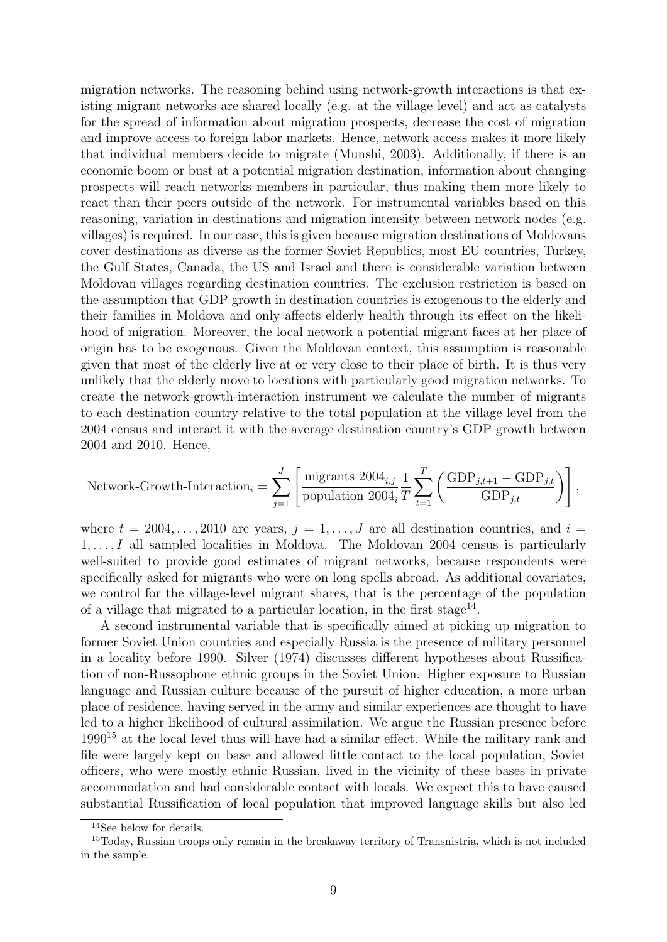migration networks. The reasoning behind using network-growth interactions is that existing migrant networks are shared locally (e.g. at the village level) and act as catalysts for the spread of information about migration prospects, decrease the cost of migration and improve access to foreign labor markets. Hence, network access makes it more likely that individual members decide to migrate [\(Munshi, 2003\)](#page-21-9). Additionally, if there is an economic boom or bust at a potential migration destination, information about changing prospects will reach networks members in particular, thus making them more likely to react than their peers outside of the network. For instrumental variables based on this reasoning, variation in destinations and migration intensity between network nodes (e.g. villages) is required. In our case, this is given because migration destinations of Moldovans cover destinations as diverse as the former Soviet Republics, most EU countries, Turkey, the Gulf States, Canada, the US and Israel and there is considerable variation between Moldovan villages regarding destination countries. The exclusion restriction is based on the assumption that GDP growth in destination countries is exogenous to the elderly and their families in Moldova and only affects elderly health through its effect on the likelihood of migration. Moreover, the local network a potential migrant faces at her place of origin has to be exogenous. Given the Moldovan context, this assumption is reasonable given that most of the elderly live at or very close to their place of birth. It is thus very unlikely that the elderly move to locations with particularly good migration networks. To create the network-growth-interaction instrument we calculate the number of migrants to each destination country relative to the total population at the village level from the 2004 census and interact it with the average destination country's GDP growth between 2004 and 2010. Hence,

Network-Growth-Interaction<sub>i</sub> = 
$$
\sum_{j=1}^{J} \left[ \frac{\text{migrants } 2004_{i,j}}{\text{population } 2004_i} \frac{1}{T} \sum_{t=1}^{T} \left( \frac{\text{GDP}_{j,t+1} - \text{GDP}_{j,t}}{\text{GDP}_{j,t}} \right) \right],
$$

where  $t = 2004, \ldots, 2010$  are years,  $j = 1, \ldots, J$  are all destination countries, and  $i =$  $1, \ldots, I$  all sampled localities in Moldova. The Moldovan 2004 census is particularly well-suited to provide good estimates of migrant networks, because respondents were specifically asked for migrants who were on long spells abroad. As additional covariates, we control for the village-level migrant shares, that is the percentage of the population of a village that migrated to a particular location, in the first stage<sup>[14](#page-0-0)</sup>.

A second instrumental variable that is specifically aimed at picking up migration to former Soviet Union countries and especially Russia is the presence of military personnel in a locality before 1990. [Silver](#page-22-11) [\(1974\)](#page-22-11) discusses different hypotheses about Russification of non-Russophone ethnic groups in the Soviet Union. Higher exposure to Russian language and Russian culture because of the pursuit of higher education, a more urban place of residence, having served in the army and similar experiences are thought to have led to a higher likelihood of cultural assimilation. We argue the Russian presence before 1990[15](#page-0-0) at the local level thus will have had a similar effect. While the military rank and file were largely kept on base and allowed little contact to the local population, Soviet officers, who were mostly ethnic Russian, lived in the vicinity of these bases in private accommodation and had considerable contact with locals. We expect this to have caused substantial Russification of local population that improved language skills but also led

<sup>14</sup>See below for details.

<sup>15</sup>Today, Russian troops only remain in the breakaway territory of Transnistria, which is not included in the sample.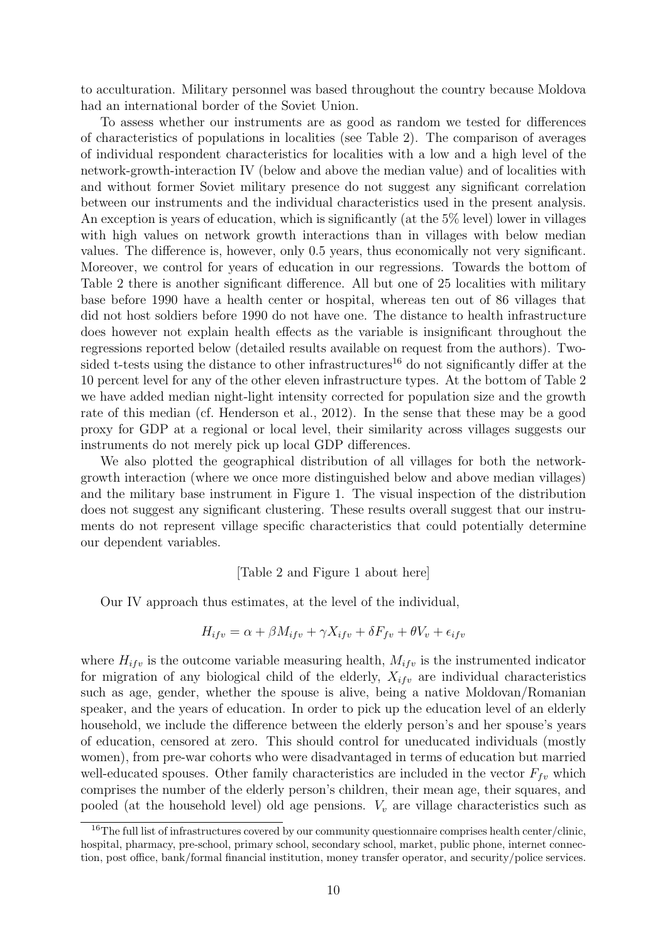to acculturation. Military personnel was based throughout the country because Moldova had an international border of the Soviet Union.

To assess whether our instruments are as good as random we tested for differences of characteristics of populations in localities (see Table [2\)](#page-26-0). The comparison of averages of individual respondent characteristics for localities with a low and a high level of the network-growth-interaction IV (below and above the median value) and of localities with and without former Soviet military presence do not suggest any significant correlation between our instruments and the individual characteristics used in the present analysis. An exception is years of education, which is significantly (at the 5% level) lower in villages with high values on network growth interactions than in villages with below median values. The difference is, however, only 0.5 years, thus economically not very significant. Moreover, we control for years of education in our regressions. Towards the bottom of Table [2](#page-26-0) there is another significant difference. All but one of 25 localities with military base before 1990 have a health center or hospital, whereas ten out of 86 villages that did not host soldiers before 1990 do not have one. The distance to health infrastructure does however not explain health effects as the variable is insignificant throughout the regressions reported below (detailed results available on request from the authors). Two-sided t-tests using the distance to other infrastructures<sup>[16](#page-0-0)</sup> do not significantly differ at the 10 percent level for any of the other eleven infrastructure types. At the bottom of Table [2](#page-26-0) we have added median night-light intensity corrected for population size and the growth rate of this median (cf. [Henderson et al., 2012\)](#page-21-10). In the sense that these may be a good proxy for GDP at a regional or local level, their similarity across villages suggests our instruments do not merely pick up local GDP differences.

We also plotted the geographical distribution of all villages for both the networkgrowth interaction (where we once more distinguished below and above median villages) and the military base instrument in Figure [1.](#page-23-0) The visual inspection of the distribution does not suggest any significant clustering. These results overall suggest that our instruments do not represent village specific characteristics that could potentially determine our dependent variables.

#### [Table [2](#page-26-0) and Figure [1](#page-23-0) about here]

Our IV approach thus estimates, at the level of the individual,

$$
H_{ifv} = \alpha + \beta M_{ifv} + \gamma X_{ifv} + \delta F_{fv} + \theta V_v + \epsilon_{ifv}
$$

where  $H_{ifv}$  is the outcome variable measuring health,  $M_{ifv}$  is the instrumented indicator for migration of any biological child of the elderly,  $X_{ifv}$  are individual characteristics such as age, gender, whether the spouse is alive, being a native Moldovan/Romanian speaker, and the years of education. In order to pick up the education level of an elderly household, we include the difference between the elderly person's and her spouse's years of education, censored at zero. This should control for uneducated individuals (mostly women), from pre-war cohorts who were disadvantaged in terms of education but married well-educated spouses. Other family characteristics are included in the vector  $F_{fv}$  which comprises the number of the elderly person's children, their mean age, their squares, and pooled (at the household level) old age pensions.  $V_v$  are village characteristics such as

<sup>&</sup>lt;sup>16</sup>The full list of infrastructures covered by our community questionnaire comprises health center/clinic, hospital, pharmacy, pre-school, primary school, secondary school, market, public phone, internet connection, post office, bank/formal financial institution, money transfer operator, and security/police services.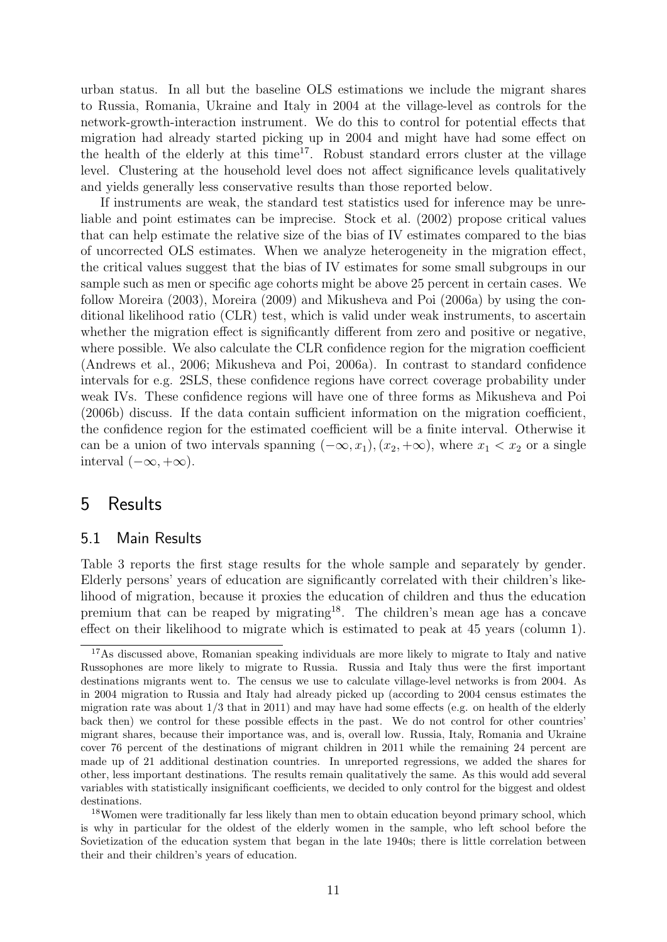urban status. In all but the baseline OLS estimations we include the migrant shares to Russia, Romania, Ukraine and Italy in 2004 at the village-level as controls for the network-growth-interaction instrument. We do this to control for potential effects that migration had already started picking up in 2004 and might have had some effect on the health of the elderly at this time<sup>[17](#page-0-0)</sup>. Robust standard errors cluster at the village level. Clustering at the household level does not affect significance levels qualitatively and yields generally less conservative results than those reported below.

If instruments are weak, the standard test statistics used for inference may be unreliable and point estimates can be imprecise. [Stock et al.](#page-22-12) [\(2002\)](#page-22-12) propose critical values that can help estimate the relative size of the bias of IV estimates compared to the bias of uncorrected OLS estimates. When we analyze heterogeneity in the migration effect, the critical values suggest that the bias of IV estimates for some small subgroups in our sample such as men or specific age cohorts might be above 25 percent in certain cases. We follow [Moreira](#page-21-11) [\(2003\)](#page-21-11), [Moreira](#page-21-12) [\(2009\)](#page-21-12) and [Mikusheva and Poi](#page-21-13) [\(2006a\)](#page-21-13) by using the conditional likelihood ratio (CLR) test, which is valid under weak instruments, to ascertain whether the migration effect is significantly different from zero and positive or negative, where possible. We also calculate the CLR confidence region for the migration coefficient [\(Andrews et al., 2006;](#page-20-14) [Mikusheva and Poi, 2006a\)](#page-21-13). In contrast to standard confidence intervals for e.g. 2SLS, these confidence regions have correct coverage probability under weak IVs. These confidence regions will have one of three forms as [Mikusheva and Poi](#page-21-14) [\(2006b\)](#page-21-14) discuss. If the data contain sufficient information on the migration coefficient, the confidence region for the estimated coefficient will be a finite interval. Otherwise it can be a union of two intervals spanning  $(-\infty, x_1), (x_2, +\infty)$ , where  $x_1 < x_2$  or a single interval  $(-\infty, +\infty)$ .

## 5 Results

#### 5.1 Main Results

Table [3](#page-27-0) reports the first stage results for the whole sample and separately by gender. Elderly persons' years of education are significantly correlated with their children's likelihood of migration, because it proxies the education of children and thus the education premium that can be reaped by migrating[18](#page-0-0). The children's mean age has a concave effect on their likelihood to migrate which is estimated to peak at 45 years (column 1).

<sup>&</sup>lt;sup>17</sup>As discussed above, Romanian speaking individuals are more likely to migrate to Italy and native Russophones are more likely to migrate to Russia. Russia and Italy thus were the first important destinations migrants went to. The census we use to calculate village-level networks is from 2004. As in 2004 migration to Russia and Italy had already picked up (according to 2004 census estimates the migration rate was about  $1/3$  that in 2011) and may have had some effects (e.g. on health of the elderly back then) we control for these possible effects in the past. We do not control for other countries' migrant shares, because their importance was, and is, overall low. Russia, Italy, Romania and Ukraine cover 76 percent of the destinations of migrant children in 2011 while the remaining 24 percent are made up of 21 additional destination countries. In unreported regressions, we added the shares for other, less important destinations. The results remain qualitatively the same. As this would add several variables with statistically insignificant coefficients, we decided to only control for the biggest and oldest destinations.

<sup>18</sup>Women were traditionally far less likely than men to obtain education beyond primary school, which is why in particular for the oldest of the elderly women in the sample, who left school before the Sovietization of the education system that began in the late 1940s; there is little correlation between their and their children's years of education.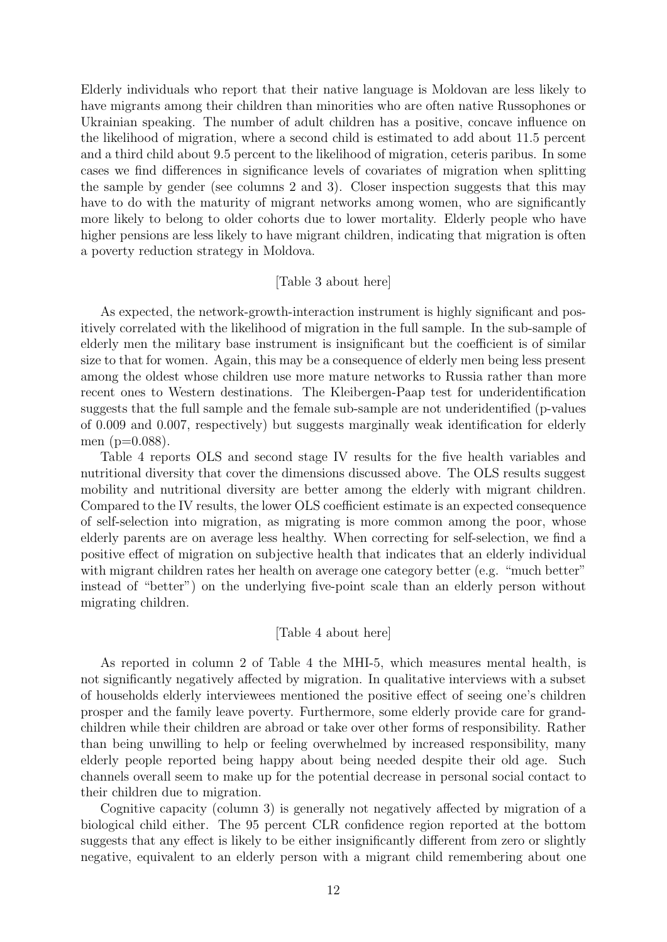Elderly individuals who report that their native language is Moldovan are less likely to have migrants among their children than minorities who are often native Russophones or Ukrainian speaking. The number of adult children has a positive, concave influence on the likelihood of migration, where a second child is estimated to add about 11.5 percent and a third child about 9.5 percent to the likelihood of migration, ceteris paribus. In some cases we find differences in significance levels of covariates of migration when splitting the sample by gender (see columns 2 and 3). Closer inspection suggests that this may have to do with the maturity of migrant networks among women, who are significantly more likely to belong to older cohorts due to lower mortality. Elderly people who have higher pensions are less likely to have migrant children, indicating that migration is often a poverty reduction strategy in Moldova.

#### [Table [3](#page-27-0) about here]

As expected, the network-growth-interaction instrument is highly significant and positively correlated with the likelihood of migration in the full sample. In the sub-sample of elderly men the military base instrument is insignificant but the coefficient is of similar size to that for women. Again, this may be a consequence of elderly men being less present among the oldest whose children use more mature networks to Russia rather than more recent ones to Western destinations. The Kleibergen-Paap test for underidentification suggests that the full sample and the female sub-sample are not underidentified (p-values of 0.009 and 0.007, respectively) but suggests marginally weak identification for elderly men ( $p=0.088$ ).

Table [4](#page-28-0) reports OLS and second stage IV results for the five health variables and nutritional diversity that cover the dimensions discussed above. The OLS results suggest mobility and nutritional diversity are better among the elderly with migrant children. Compared to the IV results, the lower OLS coefficient estimate is an expected consequence of self-selection into migration, as migrating is more common among the poor, whose elderly parents are on average less healthy. When correcting for self-selection, we find a positive effect of migration on subjective health that indicates that an elderly individual with migrant children rates her health on average one category better (e.g. "much better" instead of "better") on the underlying five-point scale than an elderly person without migrating children.

#### [Table [4](#page-28-0) about here]

As reported in column 2 of Table [4](#page-28-0) the MHI-5, which measures mental health, is not significantly negatively affected by migration. In qualitative interviews with a subset of households elderly interviewees mentioned the positive effect of seeing one's children prosper and the family leave poverty. Furthermore, some elderly provide care for grandchildren while their children are abroad or take over other forms of responsibility. Rather than being unwilling to help or feeling overwhelmed by increased responsibility, many elderly people reported being happy about being needed despite their old age. Such channels overall seem to make up for the potential decrease in personal social contact to their children due to migration.

Cognitive capacity (column 3) is generally not negatively affected by migration of a biological child either. The 95 percent CLR confidence region reported at the bottom suggests that any effect is likely to be either insignificantly different from zero or slightly negative, equivalent to an elderly person with a migrant child remembering about one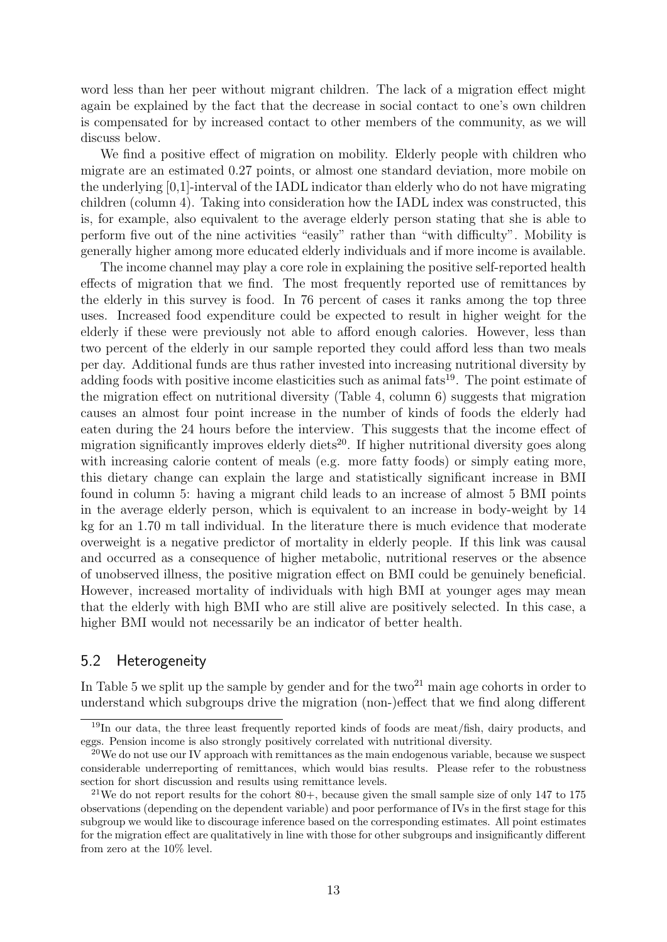word less than her peer without migrant children. The lack of a migration effect might again be explained by the fact that the decrease in social contact to one's own children is compensated for by increased contact to other members of the community, as we will discuss below.

We find a positive effect of migration on mobility. Elderly people with children who migrate are an estimated 0.27 points, or almost one standard deviation, more mobile on the underlying [0,1]-interval of the IADL indicator than elderly who do not have migrating children (column 4). Taking into consideration how the IADL index was constructed, this is, for example, also equivalent to the average elderly person stating that she is able to perform five out of the nine activities "easily" rather than "with difficulty". Mobility is generally higher among more educated elderly individuals and if more income is available.

The income channel may play a core role in explaining the positive self-reported health effects of migration that we find. The most frequently reported use of remittances by the elderly in this survey is food. In 76 percent of cases it ranks among the top three uses. Increased food expenditure could be expected to result in higher weight for the elderly if these were previously not able to afford enough calories. However, less than two percent of the elderly in our sample reported they could afford less than two meals per day. Additional funds are thus rather invested into increasing nutritional diversity by adding foods with positive income elasticities such as animal  $\text{fats}^{19}$  $\text{fats}^{19}$  $\text{fats}^{19}$ . The point estimate of the migration effect on nutritional diversity (Table [4,](#page-28-0) column 6) suggests that migration causes an almost four point increase in the number of kinds of foods the elderly had eaten during the 24 hours before the interview. This suggests that the income effect of migration significantly improves elderly diets<sup>[20](#page-0-0)</sup>. If higher nutritional diversity goes along with increasing calorie content of meals (e.g. more fatty foods) or simply eating more, this dietary change can explain the large and statistically significant increase in BMI found in column 5: having a migrant child leads to an increase of almost 5 BMI points in the average elderly person, which is equivalent to an increase in body-weight by 14 kg for an 1.70 m tall individual. In the literature there is much evidence that moderate overweight is a negative predictor of mortality in elderly people. If this link was causal and occurred as a consequence of higher metabolic, nutritional reserves or the absence of unobserved illness, the positive migration effect on BMI could be genuinely beneficial. However, increased mortality of individuals with high BMI at younger ages may mean that the elderly with high BMI who are still alive are positively selected. In this case, a higher BMI would not necessarily be an indicator of better health.

#### 5.2 Heterogeneity

In Table [5](#page-28-1) we split up the sample by gender and for the two $^{21}$  $^{21}$  $^{21}$  main age cohorts in order to understand which subgroups drive the migration (non-)effect that we find along different

 $19$ In our data, the three least frequently reported kinds of foods are meat/fish, dairy products, and eggs. Pension income is also strongly positively correlated with nutritional diversity.

 $20$ We do not use our IV approach with remittances as the main endogenous variable, because we suspect considerable underreporting of remittances, which would bias results. Please refer to the robustness section for short discussion and results using remittance levels.

<sup>&</sup>lt;sup>21</sup>We do not report results for the cohort  $80+$ , because given the small sample size of only 147 to 175 observations (depending on the dependent variable) and poor performance of IVs in the first stage for this subgroup we would like to discourage inference based on the corresponding estimates. All point estimates for the migration effect are qualitatively in line with those for other subgroups and insignificantly different from zero at the 10% level.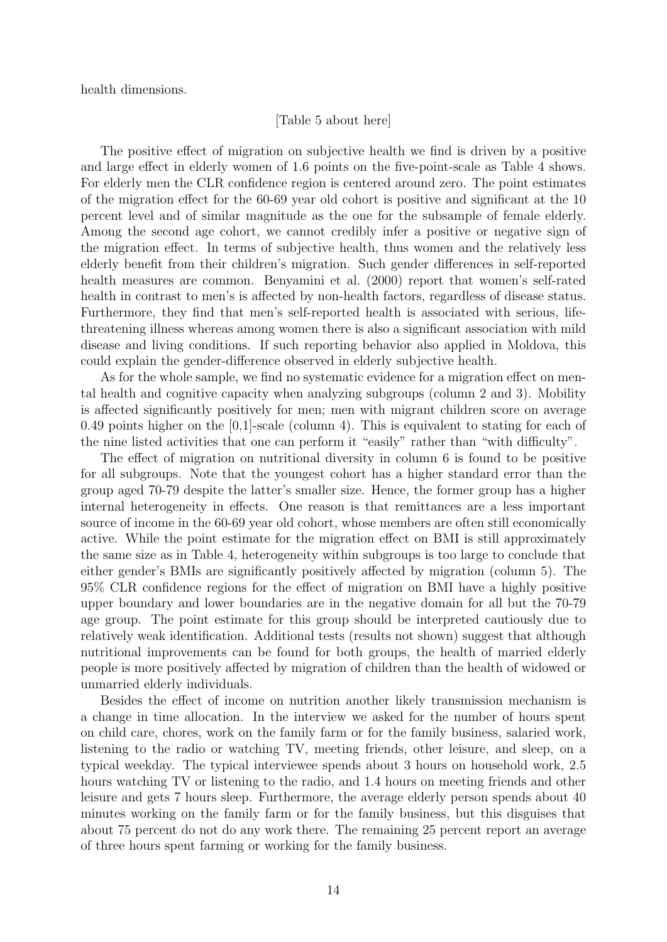health dimensions.

#### [Table [5](#page-28-1) about here]

The positive effect of migration on subjective health we find is driven by a positive and large effect in elderly women of 1.6 points on the five-point-scale as Table 4 shows. For elderly men the CLR confidence region is centered around zero. The point estimates of the migration effect for the 60-69 year old cohort is positive and significant at the 10 percent level and of similar magnitude as the one for the subsample of female elderly. Among the second age cohort, we cannot credibly infer a positive or negative sign of the migration effect. In terms of subjective health, thus women and the relatively less elderly benefit from their children's migration. Such gender differences in self-reported health measures are common. [Benyamini et al.](#page-20-15) [\(2000\)](#page-20-15) report that women's self-rated health in contrast to men's is affected by non-health factors, regardless of disease status. Furthermore, they find that men's self-reported health is associated with serious, lifethreatening illness whereas among women there is also a significant association with mild disease and living conditions. If such reporting behavior also applied in Moldova, this could explain the gender-difference observed in elderly subjective health.

As for the whole sample, we find no systematic evidence for a migration effect on mental health and cognitive capacity when analyzing subgroups (column 2 and 3). Mobility is affected significantly positively for men; men with migrant children score on average 0.49 points higher on the  $[0,1]$ -scale (column 4). This is equivalent to stating for each of the nine listed activities that one can perform it "easily" rather than "with difficulty".

The effect of migration on nutritional diversity in column 6 is found to be positive for all subgroups. Note that the youngest cohort has a higher standard error than the group aged 70-79 despite the latter's smaller size. Hence, the former group has a higher internal heterogeneity in effects. One reason is that remittances are a less important source of income in the 60-69 year old cohort, whose members are often still economically active. While the point estimate for the migration effect on BMI is still approximately the same size as in Table [4,](#page-28-0) heterogeneity within subgroups is too large to conclude that either gender's BMIs are significantly positively affected by migration (column 5). The 95% CLR confidence regions for the effect of migration on BMI have a highly positive upper boundary and lower boundaries are in the negative domain for all but the 70-79 age group. The point estimate for this group should be interpreted cautiously due to relatively weak identification. Additional tests (results not shown) suggest that although nutritional improvements can be found for both groups, the health of married elderly people is more positively affected by migration of children than the health of widowed or unmarried elderly individuals.

Besides the effect of income on nutrition another likely transmission mechanism is a change in time allocation. In the interview we asked for the number of hours spent on child care, chores, work on the family farm or for the family business, salaried work, listening to the radio or watching TV, meeting friends, other leisure, and sleep, on a typical weekday. The typical interviewee spends about 3 hours on household work, 2.5 hours watching TV or listening to the radio, and 1.4 hours on meeting friends and other leisure and gets 7 hours sleep. Furthermore, the average elderly person spends about 40 minutes working on the family farm or for the family business, but this disguises that about 75 percent do not do any work there. The remaining 25 percent report an average of three hours spent farming or working for the family business.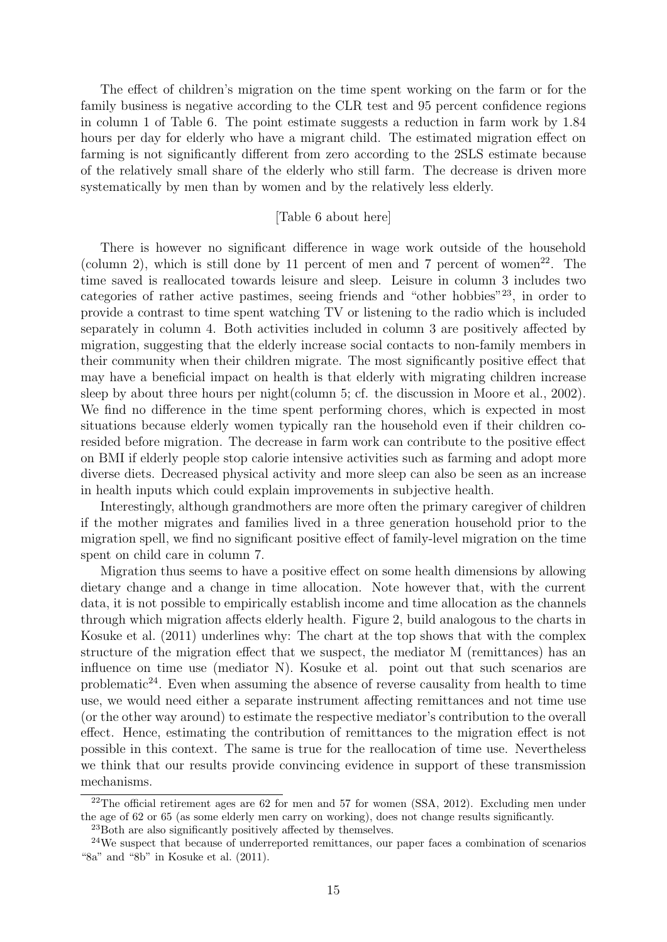The effect of children's migration on the time spent working on the farm or for the family business is negative according to the CLR test and 95 percent confidence regions in column 1 of Table [6.](#page-29-0) The point estimate suggests a reduction in farm work by 1.84 hours per day for elderly who have a migrant child. The estimated migration effect on farming is not significantly different from zero according to the 2SLS estimate because of the relatively small share of the elderly who still farm. The decrease is driven more systematically by men than by women and by the relatively less elderly.

#### [Table [6](#page-29-0) about here]

There is however no significant difference in wage work outside of the household (column 2), which is still done by 11 percent of men and 7 percent of women<sup>[22](#page-0-0)</sup>. The time saved is reallocated towards leisure and sleep. Leisure in column 3 includes two categories of rather active pastimes, seeing friends and "other hobbies"[23](#page-0-0), in order to provide a contrast to time spent watching TV or listening to the radio which is included separately in column 4. Both activities included in column 3 are positively affected by migration, suggesting that the elderly increase social contacts to non-family members in their community when their children migrate. The most significantly positive effect that may have a beneficial impact on health is that elderly with migrating children increase sleep by about three hours per night(column 5; cf. the discussion in [Moore et al., 2002\)](#page-21-15). We find no difference in the time spent performing chores, which is expected in most situations because elderly women typically ran the household even if their children coresided before migration. The decrease in farm work can contribute to the positive effect on BMI if elderly people stop calorie intensive activities such as farming and adopt more diverse diets. Decreased physical activity and more sleep can also be seen as an increase in health inputs which could explain improvements in subjective health.

Interestingly, although grandmothers are more often the primary caregiver of children if the mother migrates and families lived in a three generation household prior to the migration spell, we find no significant positive effect of family-level migration on the time spent on child care in column 7.

Migration thus seems to have a positive effect on some health dimensions by allowing dietary change and a change in time allocation. Note however that, with the current data, it is not possible to empirically establish income and time allocation as the channels through which migration affects elderly health. Figure [2,](#page-24-0) build analogous to the charts in [Kosuke et al.](#page-21-16) [\(2011\)](#page-21-16) underlines why: The chart at the top shows that with the complex structure of the migration effect that we suspect, the mediator M (remittances) has an influence on time use (mediator N). Kosuke et al. point out that such scenarios are problematic<sup>[24](#page-0-0)</sup>. Even when assuming the absence of reverse causality from health to time use, we would need either a separate instrument affecting remittances and not time use (or the other way around) to estimate the respective mediator's contribution to the overall effect. Hence, estimating the contribution of remittances to the migration effect is not possible in this context. The same is true for the reallocation of time use. Nevertheless we think that our results provide convincing evidence in support of these transmission mechanisms.

<sup>&</sup>lt;sup>22</sup>The official retirement ages are 62 for men and 57 for women [\(SSA, 2012\)](#page-22-5). Excluding men under the age of 62 or 65 (as some elderly men carry on working), does not change results significantly.

<sup>23</sup>Both are also significantly positively affected by themselves.

<sup>&</sup>lt;sup>24</sup>We suspect that because of underreported remittances, our paper faces a combination of scenarios "8a" and "8b" in [Kosuke et al.](#page-21-16) [\(2011\)](#page-21-16).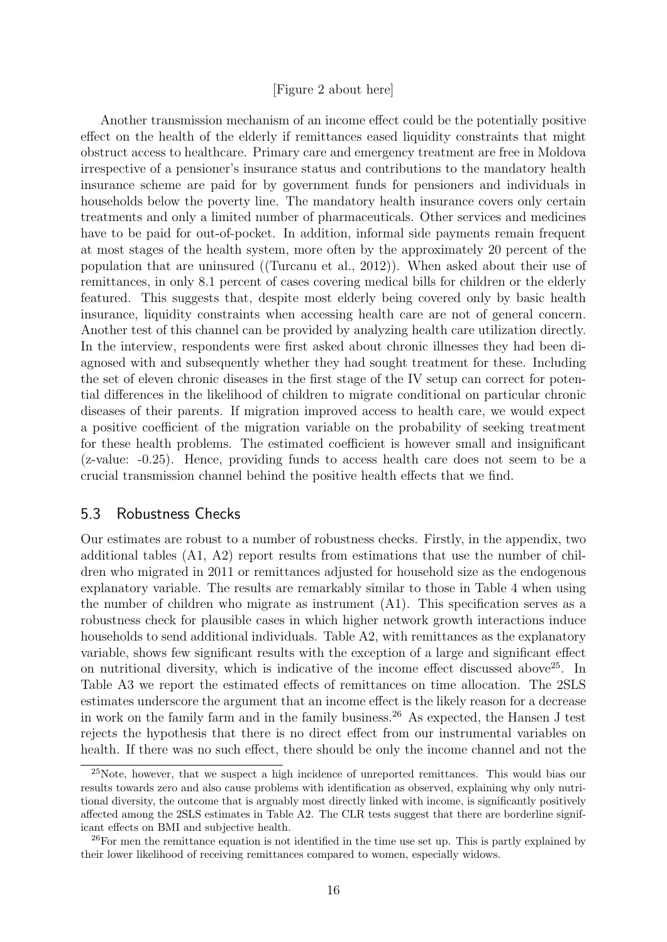#### [Figure [2](#page-24-0) about here]

Another transmission mechanism of an income effect could be the potentially positive effect on the health of the elderly if remittances eased liquidity constraints that might obstruct access to healthcare. Primary care and emergency treatment are free in Moldova irrespective of a pensioner's insurance status and contributions to the mandatory health insurance scheme are paid for by government funds for pensioners and individuals in households below the poverty line. The mandatory health insurance covers only certain treatments and only a limited number of pharmaceuticals. Other services and medicines have to be paid for out-of-pocket. In addition, informal side payments remain frequent at most stages of the health system, more often by the approximately 20 percent of the population that are uninsured ([\(Turcanu et al., 2012\)](#page-22-13)). When asked about their use of remittances, in only 8.1 percent of cases covering medical bills for children or the elderly featured. This suggests that, despite most elderly being covered only by basic health insurance, liquidity constraints when accessing health care are not of general concern. Another test of this channel can be provided by analyzing health care utilization directly. In the interview, respondents were first asked about chronic illnesses they had been diagnosed with and subsequently whether they had sought treatment for these. Including the set of eleven chronic diseases in the first stage of the IV setup can correct for potential differences in the likelihood of children to migrate conditional on particular chronic diseases of their parents. If migration improved access to health care, we would expect a positive coefficient of the migration variable on the probability of seeking treatment for these health problems. The estimated coefficient is however small and insignificant (z-value: -0.25). Hence, providing funds to access health care does not seem to be a crucial transmission channel behind the positive health effects that we find.

#### 5.3 Robustness Checks

Our estimates are robust to a number of robustness checks. Firstly, in the appendix, two additional tables [\(A1,](#page-29-1) [A2\)](#page-30-0) report results from estimations that use the number of children who migrated in 2011 or remittances adjusted for household size as the endogenous explanatory variable. The results are remarkably similar to those in Table [4](#page-28-0) when using the number of children who migrate as instrument [\(A1\)](#page-29-1). This specification serves as a robustness check for plausible cases in which higher network growth interactions induce households to send additional individuals. Table [A2,](#page-30-0) with remittances as the explanatory variable, shows few significant results with the exception of a large and significant effect on nutritional diversity, which is indicative of the income effect discussed above  $2^5$ . In Table [A3](#page-30-1) we report the estimated effects of remittances on time allocation. The 2SLS estimates underscore the argument that an income effect is the likely reason for a decrease in work on the family farm and in the family business.<sup>[26](#page-0-0)</sup> As expected, the Hansen  $J$  test rejects the hypothesis that there is no direct effect from our instrumental variables on health. If there was no such effect, there should be only the income channel and not the

<sup>&</sup>lt;sup>25</sup>Note, however, that we suspect a high incidence of unreported remittances. This would bias our results towards zero and also cause problems with identification as observed, explaining why only nutritional diversity, the outcome that is arguably most directly linked with income, is significantly positively affected among the 2SLS estimates in Table [A2.](#page-30-0) The CLR tests suggest that there are borderline significant effects on BMI and subjective health.

<sup>&</sup>lt;sup>26</sup>For men the remittance equation is not identified in the time use set up. This is partly explained by their lower likelihood of receiving remittances compared to women, especially widows.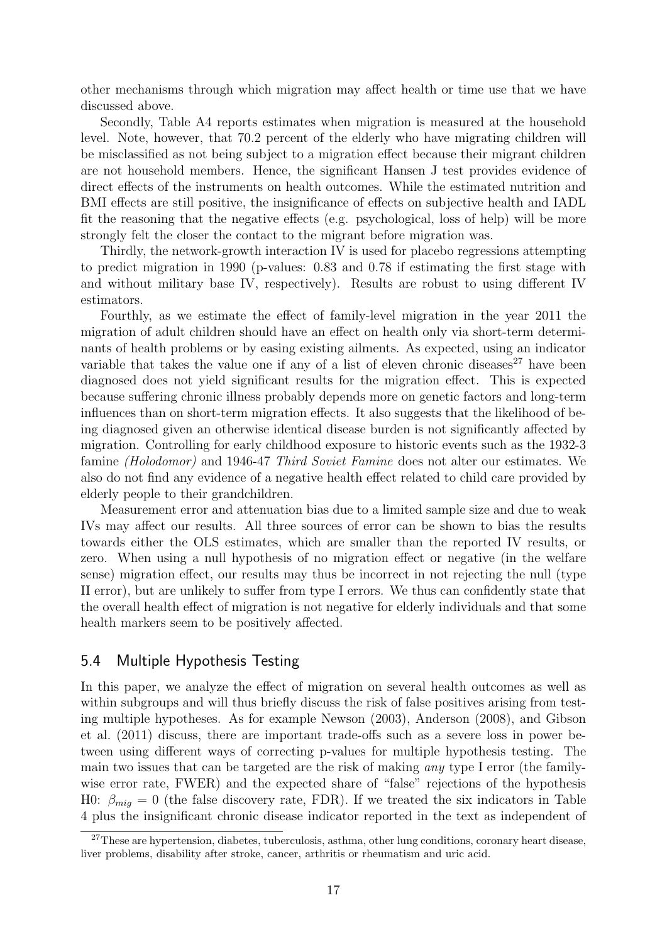other mechanisms through which migration may affect health or time use that we have discussed above.

Secondly, Table [A4](#page-30-2) reports estimates when migration is measured at the household level. Note, however, that 70.2 percent of the elderly who have migrating children will be misclassified as not being subject to a migration effect because their migrant children are not household members. Hence, the significant Hansen J test provides evidence of direct effects of the instruments on health outcomes. While the estimated nutrition and BMI effects are still positive, the insignificance of effects on subjective health and IADL fit the reasoning that the negative effects (e.g. psychological, loss of help) will be more strongly felt the closer the contact to the migrant before migration was.

Thirdly, the network-growth interaction IV is used for placebo regressions attempting to predict migration in 1990 (p-values: 0.83 and 0.78 if estimating the first stage with and without military base IV, respectively). Results are robust to using different IV estimators.

Fourthly, as we estimate the effect of family-level migration in the year 2011 the migration of adult children should have an effect on health only via short-term determinants of health problems or by easing existing ailments. As expected, using an indicator variable that takes the value one if any of a list of eleven chronic diseases<sup>[27](#page-0-0)</sup> have been diagnosed does not yield significant results for the migration effect. This is expected because suffering chronic illness probably depends more on genetic factors and long-term influences than on short-term migration effects. It also suggests that the likelihood of being diagnosed given an otherwise identical disease burden is not significantly affected by migration. Controlling for early childhood exposure to historic events such as the 1932-3 famine (Holodomor) and 1946-47 Third Soviet Famine does not alter our estimates. We also do not find any evidence of a negative health effect related to child care provided by elderly people to their grandchildren.

Measurement error and attenuation bias due to a limited sample size and due to weak IVs may affect our results. All three sources of error can be shown to bias the results towards either the OLS estimates, which are smaller than the reported IV results, or zero. When using a null hypothesis of no migration effect or negative (in the welfare sense) migration effect, our results may thus be incorrect in not rejecting the null (type II error), but are unlikely to suffer from type I errors. We thus can confidently state that the overall health effect of migration is not negative for elderly individuals and that some health markers seem to be positively affected.

#### 5.4 Multiple Hypothesis Testing

In this paper, we analyze the effect of migration on several health outcomes as well as within subgroups and will thus briefly discuss the risk of false positives arising from testing multiple hypotheses. As for example [Newson](#page-21-17) [\(2003\)](#page-21-17), [Anderson](#page-20-16) [\(2008\)](#page-20-16), and [Gibson](#page-21-1) [et al.](#page-21-1) [\(2011\)](#page-21-1) discuss, there are important trade-offs such as a severe loss in power between using different ways of correcting p-values for multiple hypothesis testing. The main two issues that can be targeted are the risk of making any type I error (the familywise error rate, FWER) and the expected share of "false" rejections of the hypothesis H0:  $\beta_{miq} = 0$  (the false discovery rate, FDR). If we treated the six indicators in Table [4](#page-28-0) plus the insignificant chronic disease indicator reported in the text as independent of

<sup>&</sup>lt;sup>27</sup>These are hypertension, diabetes, tuberculosis, asthma, other lung conditions, coronary heart disease, liver problems, disability after stroke, cancer, arthritis or rheumatism and uric acid.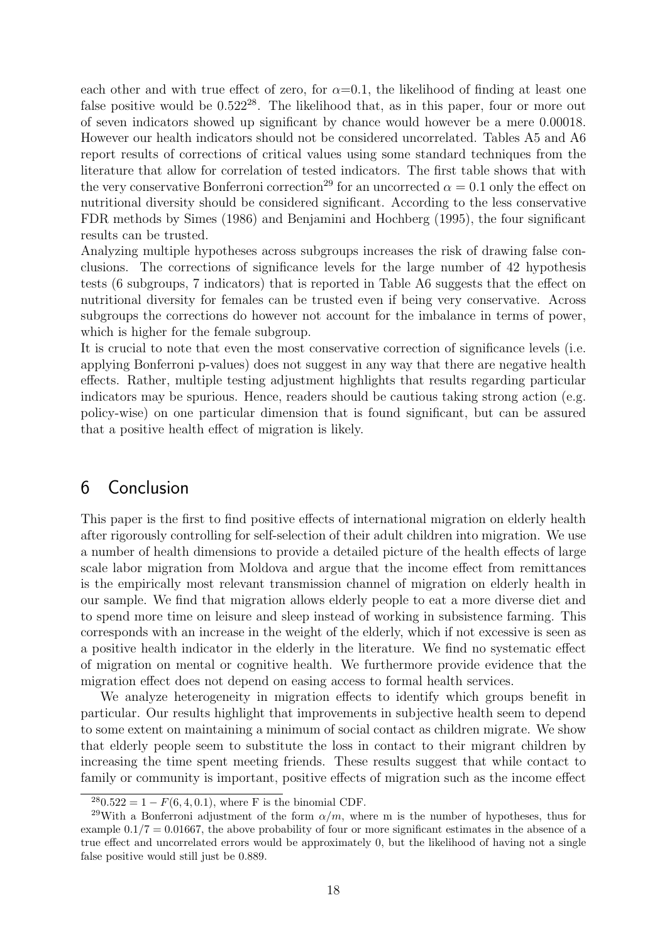each other and with true effect of zero, for  $\alpha=0.1$ , the likelihood of finding at least one false positive would be  $0.522^{28}$  $0.522^{28}$  $0.522^{28}$ . The likelihood that, as in this paper, four or more out of seven indicators showed up significant by chance would however be a mere 0.00018. However our health indicators should not be considered uncorrelated. Tables [A5](#page-31-0) and [A6](#page-31-1) report results of corrections of critical values using some standard techniques from the literature that allow for correlation of tested indicators. The first table shows that with the very conservative Bonferroni correction<sup>[29](#page-0-0)</sup> for an uncorrected  $\alpha = 0.1$  only the effect on nutritional diversity should be considered significant. According to the less conservative FDR methods by [Simes](#page-22-14) [\(1986\)](#page-22-14) and [Benjamini and Hochberg](#page-20-17) [\(1995\)](#page-20-17), the four significant results can be trusted.

Analyzing multiple hypotheses across subgroups increases the risk of drawing false conclusions. The corrections of significance levels for the large number of 42 hypothesis tests (6 subgroups, 7 indicators) that is reported in Table [A6](#page-31-1) suggests that the effect on nutritional diversity for females can be trusted even if being very conservative. Across subgroups the corrections do however not account for the imbalance in terms of power, which is higher for the female subgroup.

It is crucial to note that even the most conservative correction of significance levels (i.e. applying Bonferroni p-values) does not suggest in any way that there are negative health effects. Rather, multiple testing adjustment highlights that results regarding particular indicators may be spurious. Hence, readers should be cautious taking strong action (e.g. policy-wise) on one particular dimension that is found significant, but can be assured that a positive health effect of migration is likely.

## 6 Conclusion

This paper is the first to find positive effects of international migration on elderly health after rigorously controlling for self-selection of their adult children into migration. We use a number of health dimensions to provide a detailed picture of the health effects of large scale labor migration from Moldova and argue that the income effect from remittances is the empirically most relevant transmission channel of migration on elderly health in our sample. We find that migration allows elderly people to eat a more diverse diet and to spend more time on leisure and sleep instead of working in subsistence farming. This corresponds with an increase in the weight of the elderly, which if not excessive is seen as a positive health indicator in the elderly in the literature. We find no systematic effect of migration on mental or cognitive health. We furthermore provide evidence that the migration effect does not depend on easing access to formal health services.

We analyze heterogeneity in migration effects to identify which groups benefit in particular. Our results highlight that improvements in subjective health seem to depend to some extent on maintaining a minimum of social contact as children migrate. We show that elderly people seem to substitute the loss in contact to their migrant children by increasing the time spent meeting friends. These results suggest that while contact to family or community is important, positive effects of migration such as the income effect

 $280.522 = 1 - F(6, 4, 0.1)$ , where F is the binomial CDF.

<sup>&</sup>lt;sup>29</sup>With a Bonferroni adjustment of the form  $\alpha/m$ , where m is the number of hypotheses, thus for example  $0.1/7 = 0.01667$ , the above probability of four or more significant estimates in the absence of a true effect and uncorrelated errors would be approximately 0, but the likelihood of having not a single false positive would still just be 0.889.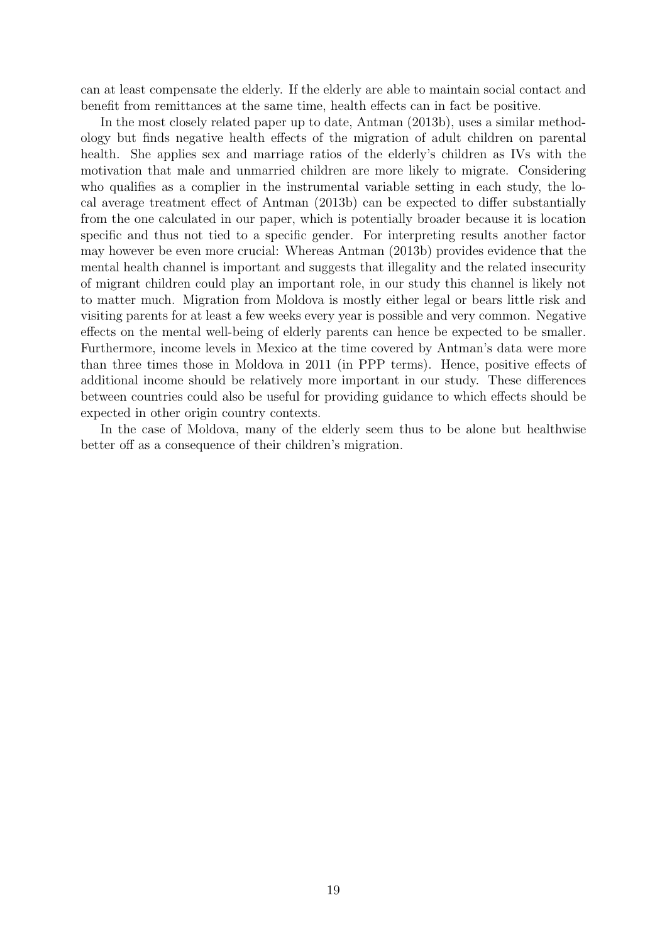can at least compensate the elderly. If the elderly are able to maintain social contact and benefit from remittances at the same time, health effects can in fact be positive.

In the most closely related paper up to date, [Antman](#page-20-2) [\(2013b\)](#page-20-2), uses a similar methodology but finds negative health effects of the migration of adult children on parental health. She applies sex and marriage ratios of the elderly's children as IVs with the motivation that male and unmarried children are more likely to migrate. Considering who qualifies as a complier in the instrumental variable setting in each study, the local average treatment effect of [Antman](#page-20-2) [\(2013b\)](#page-20-2) can be expected to differ substantially from the one calculated in our paper, which is potentially broader because it is location specific and thus not tied to a specific gender. For interpreting results another factor may however be even more crucial: Whereas [Antman](#page-20-2) [\(2013b\)](#page-20-2) provides evidence that the mental health channel is important and suggests that illegality and the related insecurity of migrant children could play an important role, in our study this channel is likely not to matter much. Migration from Moldova is mostly either legal or bears little risk and visiting parents for at least a few weeks every year is possible and very common. Negative effects on the mental well-being of elderly parents can hence be expected to be smaller. Furthermore, income levels in Mexico at the time covered by Antman's data were more than three times those in Moldova in 2011 (in PPP terms). Hence, positive effects of additional income should be relatively more important in our study. These differences between countries could also be useful for providing guidance to which effects should be expected in other origin country contexts.

In the case of Moldova, many of the elderly seem thus to be alone but healthwise better off as a consequence of their children's migration.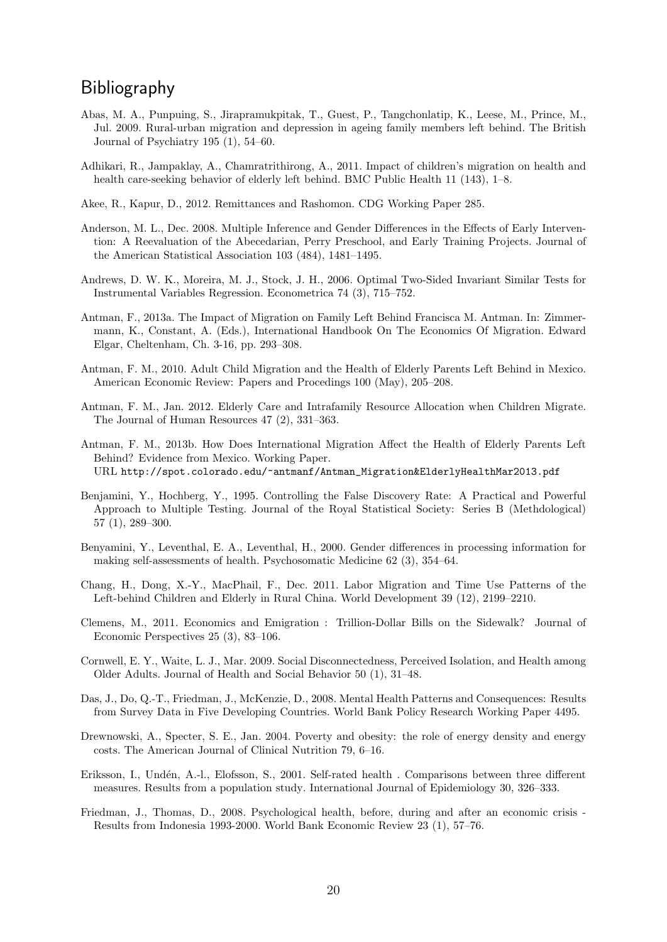# Bibliography

- <span id="page-20-10"></span>Abas, M. A., Punpuing, S., Jirapramukpitak, T., Guest, P., Tangchonlatip, K., Leese, M., Prince, M., Jul. 2009. Rural-urban migration and depression in ageing family members left behind. The British Journal of Psychiatry 195 (1), 54–60.
- <span id="page-20-4"></span>Adhikari, R., Jampaklay, A., Chamratrithirong, A., 2011. Impact of children's migration on health and health care-seeking behavior of elderly left behind. BMC Public Health 11 (143), 1–8.
- <span id="page-20-11"></span>Akee, R., Kapur, D., 2012. Remittances and Rashomon. CDG Working Paper 285.
- <span id="page-20-16"></span>Anderson, M. L., Dec. 2008. Multiple Inference and Gender Differences in the Effects of Early Intervention: A Reevaluation of the Abecedarian, Perry Preschool, and Early Training Projects. Journal of the American Statistical Association 103 (484), 1481–1495.
- <span id="page-20-14"></span>Andrews, D. W. K., Moreira, M. J., Stock, J. H., 2006. Optimal Two-Sided Invariant Similar Tests for Instrumental Variables Regression. Econometrica 74 (3), 715–752.
- <span id="page-20-1"></span>Antman, F., 2013a. The Impact of Migration on Family Left Behind Francisca M. Antman. In: Zimmermann, K., Constant, A. (Eds.), International Handbook On The Economics Of Migration. Edward Elgar, Cheltenham, Ch. 3-16, pp. 293–308.
- <span id="page-20-3"></span>Antman, F. M., 2010. Adult Child Migration and the Health of Elderly Parents Left Behind in Mexico. American Economic Review: Papers and Procedings 100 (May), 205–208.
- <span id="page-20-8"></span>Antman, F. M., Jan. 2012. Elderly Care and Intrafamily Resource Allocation when Children Migrate. The Journal of Human Resources 47 (2), 331–363.
- <span id="page-20-2"></span>Antman, F. M., 2013b. How Does International Migration Affect the Health of Elderly Parents Left Behind? Evidence from Mexico. Working Paper. URL [http://spot.colorado.edu/~antmanf/Antman\\_Migration&ElderlyHealthMar2013.pdf](http://spot.colorado.edu/~antmanf/Antman_Migration&ElderlyHealthMar2013.pdf)
- <span id="page-20-17"></span>Benjamini, Y., Hochberg, Y., 1995. Controlling the False Discovery Rate: A Practical and Powerful Approach to Multiple Testing. Journal of the Royal Statistical Society: Series B (Methdological) 57 (1), 289–300.
- <span id="page-20-15"></span>Benyamini, Y., Leventhal, E. A., Leventhal, H., 2000. Gender differences in processing information for making self-assessments of health. Psychosomatic Medicine 62 (3), 354–64.
- <span id="page-20-7"></span>Chang, H., Dong, X.-Y., MacPhail, F., Dec. 2011. Labor Migration and Time Use Patterns of the Left-behind Children and Elderly in Rural China. World Development 39 (12), 2199–2210.
- <span id="page-20-0"></span>Clemens, M., 2011. Economics and Emigration : Trillion-Dollar Bills on the Sidewalk? Journal of Economic Perspectives 25 (3), 83–106.
- <span id="page-20-9"></span>Cornwell, E. Y., Waite, L. J., Mar. 2009. Social Disconnectedness, Perceived Isolation, and Health among Older Adults. Journal of Health and Social Behavior 50 (1), 31–48.
- <span id="page-20-6"></span>Das, J., Do, Q.-T., Friedman, J., McKenzie, D., 2008. Mental Health Patterns and Consequences: Results from Survey Data in Five Developing Countries. World Bank Policy Research Working Paper 4495.
- <span id="page-20-13"></span>Drewnowski, A., Specter, S. E., Jan. 2004. Poverty and obesity: the role of energy density and energy costs. The American Journal of Clinical Nutrition 79, 6–16.
- <span id="page-20-12"></span>Eriksson, I., Undén, A.-l., Elofsson, S., 2001. Self-rated health . Comparisons between three different measures. Results from a population study. International Journal of Epidemiology 30, 326–333.
- <span id="page-20-5"></span>Friedman, J., Thomas, D., 2008. Psychological health, before, during and after an economic crisis - Results from Indonesia 1993-2000. World Bank Economic Review 23 (1), 57–76.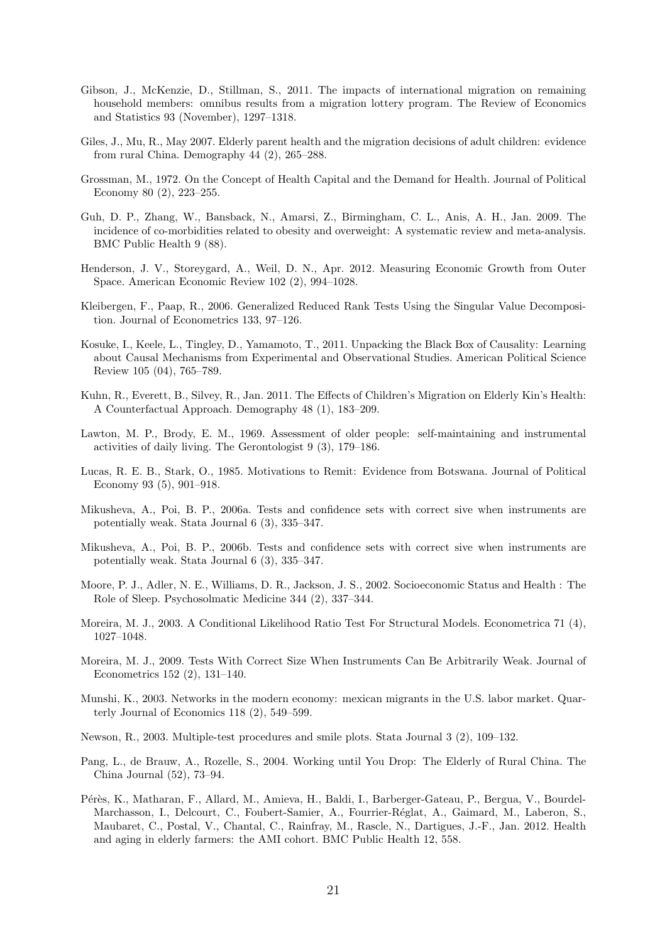- <span id="page-21-1"></span>Gibson, J., McKenzie, D., Stillman, S., 2011. The impacts of international migration on remaining household members: omnibus results from a migration lottery program. The Review of Economics and Statistics 93 (November), 1297–1318.
- <span id="page-21-8"></span>Giles, J., Mu, R., May 2007. Elderly parent health and the migration decisions of adult children: evidence from rural China. Demography 44 (2), 265–288.
- <span id="page-21-3"></span>Grossman, M., 1972. On the Concept of Health Capital and the Demand for Health. Journal of Political Economy 80 (2), 223–255.
- <span id="page-21-6"></span>Guh, D. P., Zhang, W., Bansback, N., Amarsi, Z., Birmingham, C. L., Anis, A. H., Jan. 2009. The incidence of co-morbidities related to obesity and overweight: A systematic review and meta-analysis. BMC Public Health 9 (88).
- <span id="page-21-10"></span>Henderson, J. V., Storeygard, A., Weil, D. N., Apr. 2012. Measuring Economic Growth from Outer Space. American Economic Review 102 (2), 994–1028.
- <span id="page-21-18"></span>Kleibergen, F., Paap, R., 2006. Generalized Reduced Rank Tests Using the Singular Value Decomposition. Journal of Econometrics 133, 97–126.
- <span id="page-21-16"></span>Kosuke, I., Keele, L., Tingley, D., Yamamoto, T., 2011. Unpacking the Black Box of Causality: Learning about Causal Mechanisms from Experimental and Observational Studies. American Political Science Review 105 (04), 765–789.
- <span id="page-21-0"></span>Kuhn, R., Everett, B., Silvey, R., Jan. 2011. The Effects of Children's Migration on Elderly Kin's Health: A Counterfactual Approach. Demography 48 (1), 183–209.
- <span id="page-21-7"></span>Lawton, M. P., Brody, E. M., 1969. Assessment of older people: self-maintaining and instrumental activities of daily living. The Gerontologist 9 (3), 179–186.
- <span id="page-21-2"></span>Lucas, R. E. B., Stark, O., 1985. Motivations to Remit: Evidence from Botswana. Journal of Political Economy 93 (5), 901–918.
- <span id="page-21-13"></span>Mikusheva, A., Poi, B. P., 2006a. Tests and confidence sets with correct sive when instruments are potentially weak. Stata Journal 6 (3), 335–347.
- <span id="page-21-14"></span>Mikusheva, A., Poi, B. P., 2006b. Tests and confidence sets with correct sive when instruments are potentially weak. Stata Journal 6 (3), 335–347.
- <span id="page-21-15"></span>Moore, P. J., Adler, N. E., Williams, D. R., Jackson, J. S., 2002. Socioeconomic Status and Health : The Role of Sleep. Psychosolmatic Medicine 344 (2), 337–344.
- <span id="page-21-11"></span>Moreira, M. J., 2003. A Conditional Likelihood Ratio Test For Structural Models. Econometrica 71 (4), 1027–1048.
- <span id="page-21-12"></span>Moreira, M. J., 2009. Tests With Correct Size When Instruments Can Be Arbitrarily Weak. Journal of Econometrics 152 (2), 131–140.
- <span id="page-21-9"></span>Munshi, K., 2003. Networks in the modern economy: mexican migrants in the U.S. labor market. Quarterly Journal of Economics 118 (2), 549–599.
- <span id="page-21-17"></span>Newson, R., 2003. Multiple-test procedures and smile plots. Stata Journal 3 (2), 109–132.
- <span id="page-21-5"></span>Pang, L., de Brauw, A., Rozelle, S., 2004. Working until You Drop: The Elderly of Rural China. The China Journal (52), 73–94.
- <span id="page-21-4"></span>Pérès, K., Matharan, F., Allard, M., Amieva, H., Baldi, I., Barberger-Gateau, P., Bergua, V., Bourdel-Marchasson, I., Delcourt, C., Foubert-Samier, A., Fourrier-Réglat, A., Gaimard, M., Laberon, S., Maubaret, C., Postal, V., Chantal, C., Rainfray, M., Rascle, N., Dartigues, J.-F., Jan. 2012. Health and aging in elderly farmers: the AMI cohort. BMC Public Health 12, 558.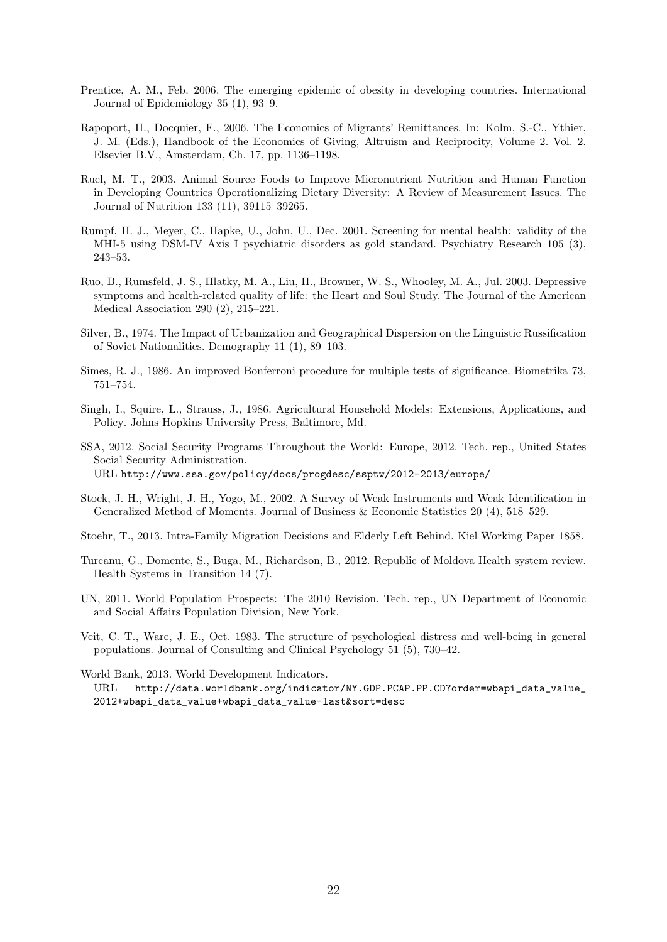- <span id="page-22-9"></span>Prentice, A. M., Feb. 2006. The emerging epidemic of obesity in developing countries. International Journal of Epidemiology 35 (1), 93–9.
- <span id="page-22-1"></span>Rapoport, H., Docquier, F., 2006. The Economics of Migrants' Remittances. In: Kolm, S.-C., Ythier, J. M. (Eds.), Handbook of the Economics of Giving, Altruism and Reciprocity, Volume 2. Vol. 2. Elsevier B.V., Amsterdam, Ch. 17, pp. 1136–1198.
- <span id="page-22-10"></span>Ruel, M. T., 2003. Animal Source Foods to Improve Micronutrient Nutrition and Human Function in Developing Countries Operationalizing Dietary Diversity: A Review of Measurement Issues. The Journal of Nutrition 133 (11), 39115–39265.
- <span id="page-22-8"></span>Rumpf, H. J., Meyer, C., Hapke, U., John, U., Dec. 2001. Screening for mental health: validity of the MHI-5 using DSM-IV Axis I psychiatric disorders as gold standard. Psychiatry Research 105 (3), 243–53.
- <span id="page-22-6"></span>Ruo, B., Rumsfeld, J. S., Hlatky, M. A., Liu, H., Browner, W. S., Whooley, M. A., Jul. 2003. Depressive symptoms and health-related quality of life: the Heart and Soul Study. The Journal of the American Medical Association 290 (2), 215–221.
- <span id="page-22-11"></span>Silver, B., 1974. The Impact of Urbanization and Geographical Dispersion on the Linguistic Russification of Soviet Nationalities. Demography 11 (1), 89–103.
- <span id="page-22-14"></span>Simes, R. J., 1986. An improved Bonferroni procedure for multiple tests of significance. Biometrika 73, 751–754.
- <span id="page-22-2"></span>Singh, I., Squire, L., Strauss, J., 1986. Agricultural Household Models: Extensions, Applications, and Policy. Johns Hopkins University Press, Baltimore, Md.
- <span id="page-22-5"></span>SSA, 2012. Social Security Programs Throughout the World: Europe, 2012. Tech. rep., United States Social Security Administration. URL <http://www.ssa.gov/policy/docs/progdesc/ssptw/2012-2013/europe/>
- <span id="page-22-12"></span>Stock, J. H., Wright, J. H., Yogo, M., 2002. A Survey of Weak Instruments and Weak Identification in Generalized Method of Moments. Journal of Business & Economic Statistics 20 (4), 518–529.
- <span id="page-22-3"></span>Stoehr, T., 2013. Intra-Family Migration Decisions and Elderly Left Behind. Kiel Working Paper 1858.
- <span id="page-22-13"></span>Turcanu, G., Domente, S., Buga, M., Richardson, B., 2012. Republic of Moldova Health system review. Health Systems in Transition 14 (7).
- <span id="page-22-0"></span>UN, 2011. World Population Prospects: The 2010 Revision. Tech. rep., UN Department of Economic and Social Affairs Population Division, New York.
- <span id="page-22-7"></span>Veit, C. T., Ware, J. E., Oct. 1983. The structure of psychological distress and well-being in general populations. Journal of Consulting and Clinical Psychology 51 (5), 730–42.

<span id="page-22-4"></span>World Bank, 2013. World Development Indicators.

URL [http://data.worldbank.org/indicator/NY.GDP.PCAP.PP.CD?order=wbapi\\_data\\_value\\_](http://data.worldbank.org/indicator/NY.GDP.PCAP.PP.CD?order=wbapi_data_value_2012+wbapi_data_value+wbapi_data_value-last&sort=desc) [2012+wbapi\\_data\\_value+wbapi\\_data\\_value-last&sort=desc](http://data.worldbank.org/indicator/NY.GDP.PCAP.PP.CD?order=wbapi_data_value_2012+wbapi_data_value+wbapi_data_value-last&sort=desc)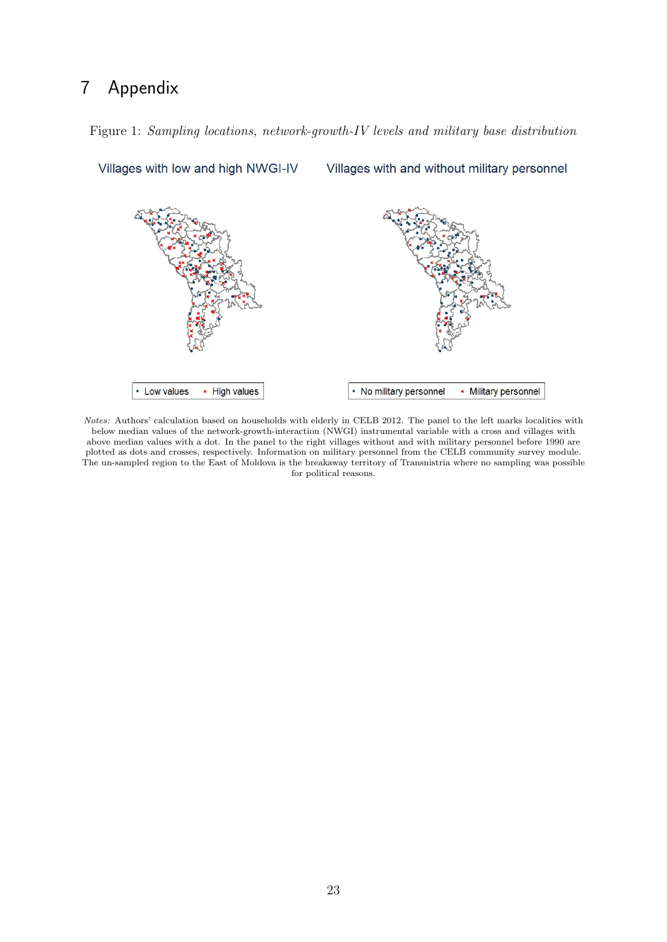# 7 Appendix

Villages with low and high NWGI-IV

<span id="page-23-0"></span>Figure 1: Sampling locations, network-growth-IV levels and military base distribution

Villages with and without military personnel



Notes: Authors' calculation based on households with elderly in CELB 2012. The panel to the left marks localities with below median values of the network-growth-interaction (NWGI) instrumental variable with a cross and villages with above median values with a dot. In the panel to the right villages without and with military personnel before 1990 are

plotted as dots and crosses, respectively. Information on military personnel from the CELB community survey module. The un-sampled region to the East of Moldova is the breakaway territory of Transnistria where no sampling was possible for political reasons.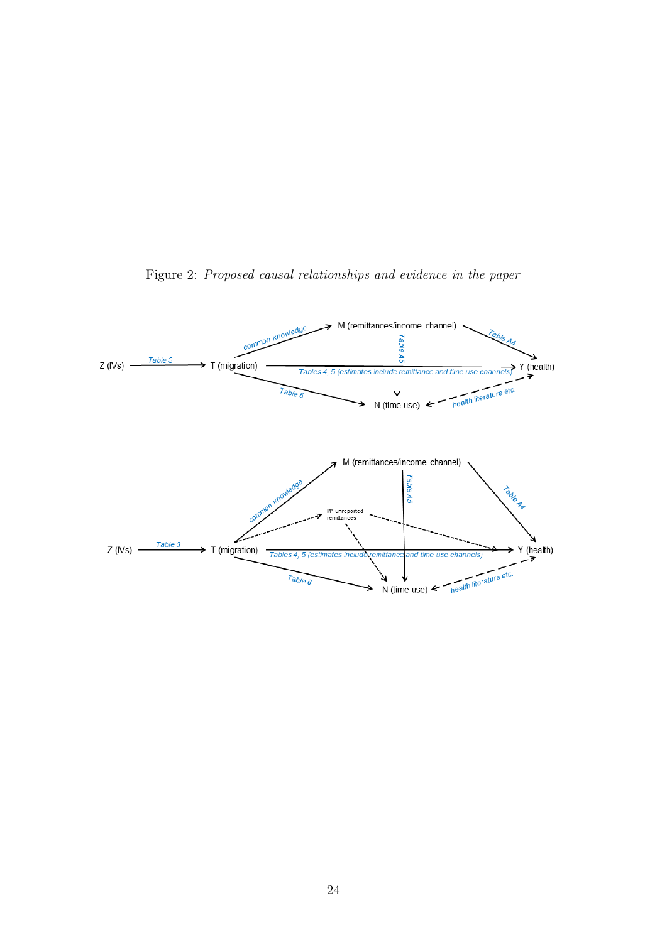<span id="page-24-0"></span>

Figure 2: Proposed causal relationships and evidence in the paper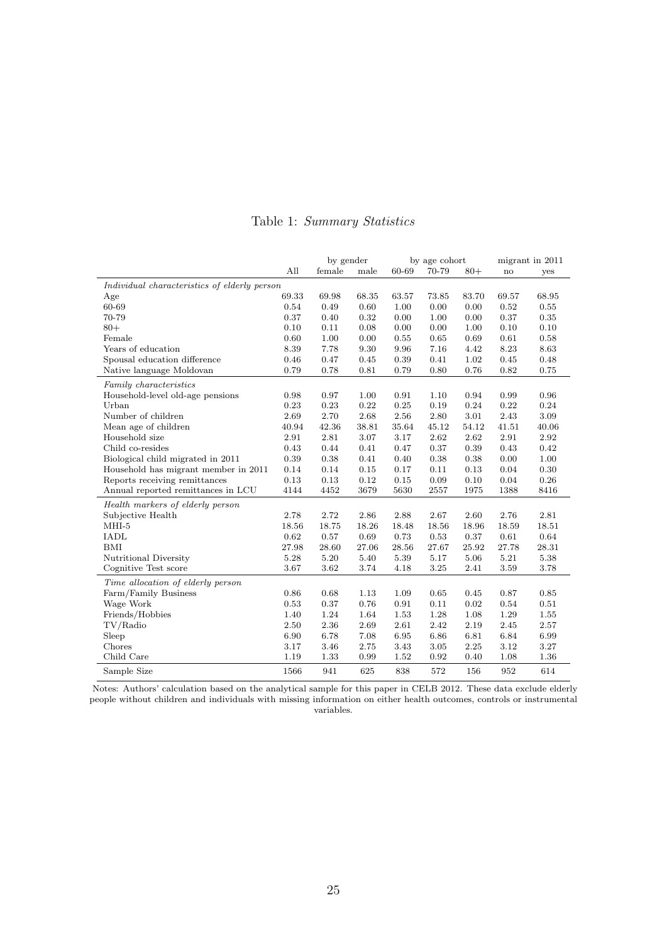<span id="page-25-0"></span>

|                                              |       | by gender |       |       | by age cohort |       |       | migrant in 2011 |
|----------------------------------------------|-------|-----------|-------|-------|---------------|-------|-------|-----------------|
|                                              | All   | female    | male  | 60-69 | 70-79         | $80+$ | no    | yes             |
| Individual characteristics of elderly person |       |           |       |       |               |       |       |                 |
| Age                                          | 69.33 | 69.98     | 68.35 | 63.57 | 73.85         | 83.70 | 69.57 | 68.95           |
| 60-69                                        | 0.54  | 0.49      | 0.60  | 1.00  | 0.00          | 0.00  | 0.52  | 0.55            |
| 70-79                                        | 0.37  | 0.40      | 0.32  | 0.00  | 1.00          | 0.00  | 0.37  | 0.35            |
| $80+$                                        | 0.10  | 0.11      | 0.08  | 0.00  | 0.00          | 1.00  | 0.10  | 0.10            |
| Female                                       | 0.60  | 1.00      | 0.00  | 0.55  | 0.65          | 0.69  | 0.61  | 0.58            |
| Years of education                           | 8.39  | 7.78      | 9.30  | 9.96  | 7.16          | 4.42  | 8.23  | 8.63            |
| Spousal education difference                 | 0.46  | 0.47      | 0.45  | 0.39  | 0.41          | 1.02  | 0.45  | 0.48            |
| Native language Moldovan                     | 0.79  | 0.78      | 0.81  | 0.79  | 0.80          | 0.76  | 0.82  | 0.75            |
| Family characteristics                       |       |           |       |       |               |       |       |                 |
| Household-level old-age pensions             | 0.98  | 0.97      | 1.00  | 0.91  | 1.10          | 0.94  | 0.99  | 0.96            |
| Urban                                        | 0.23  | 0.23      | 0.22  | 0.25  | 0.19          | 0.24  | 0.22  | 0.24            |
| Number of children                           | 2.69  | 2.70      | 2.68  | 2.56  | 2.80          | 3.01  | 2.43  | 3.09            |
| Mean age of children                         | 40.94 | 42.36     | 38.81 | 35.64 | 45.12         | 54.12 | 41.51 | 40.06           |
| Household size                               | 2.91  | 2.81      | 3.07  | 3.17  | 2.62          | 2.62  | 2.91  | 2.92            |
| Child co-resides                             | 0.43  | 0.44      | 0.41  | 0.47  | 0.37          | 0.39  | 0.43  | 0.42            |
| Biological child migrated in 2011            | 0.39  | 0.38      | 0.41  | 0.40  | 0.38          | 0.38  | 0.00  | 1.00            |
| Household has migrant member in 2011         | 0.14  | 0.14      | 0.15  | 0.17  | 0.11          | 0.13  | 0.04  | $0.30\,$        |
| Reports receiving remittances                | 0.13  | 0.13      | 0.12  | 0.15  | 0.09          | 0.10  | 0.04  | 0.26            |
| Annual reported remittances in LCU           | 4144  | 4452      | 3679  | 5630  | 2557          | 1975  | 1388  | 8416            |
| Health markers of elderly person             |       |           |       |       |               |       |       |                 |
| Subjective Health                            | 2.78  | 2.72      | 2.86  | 2.88  | 2.67          | 2.60  | 2.76  | 2.81            |
| $MHI-5$                                      | 18.56 | 18.75     | 18.26 | 18.48 | 18.56         | 18.96 | 18.59 | 18.51           |
| IADL                                         | 0.62  | 0.57      | 0.69  | 0.73  | 0.53          | 0.37  | 0.61  | 0.64            |
| BMI                                          | 27.98 | 28.60     | 27.06 | 28.56 | 27.67         | 25.92 | 27.78 | 28.31           |
| Nutritional Diversity                        | 5.28  | 5.20      | 5.40  | 5.39  | 5.17          | 5.06  | 5.21  | 5.38            |
| Cognitive Test score                         | 3.67  | 3.62      | 3.74  | 4.18  | $3.25\,$      | 2.41  | 3.59  | 3.78            |
| Time allocation of elderly person            |       |           |       |       |               |       |       |                 |
| Farm/Family Business                         | 0.86  | 0.68      | 1.13  | 1.09  | 0.65          | 0.45  | 0.87  | 0.85            |
| Wage Work                                    | 0.53  | 0.37      | 0.76  | 0.91  | 0.11          | 0.02  | 0.54  | 0.51            |
| Friends/Hobbies                              | 1.40  | 1.24      | 1.64  | 1.53  | 1.28          | 1.08  | 1.29  | 1.55            |
| TV/Radio                                     | 2.50  | 2.36      | 2.69  | 2.61  | 2.42          | 2.19  | 2.45  | 2.57            |
| Sleep                                        | 6.90  | 6.78      | 7.08  | 6.95  | 6.86          | 6.81  | 6.84  | 6.99            |
| Chores                                       | 3.17  | 3.46      | 2.75  | 3.43  | 3.05          | 2.25  | 3.12  | 3.27            |
| Child Care                                   | 1.19  | 1.33      | 0.99  | 1.52  | 0.92          | 0.40  | 1.08  | 1.36            |
| Sample Size                                  | 1566  | 941       | 625   | 838   | 572           | 156   | 952   | 614             |

### Table 1: Summary Statistics

Notes: Authors' calculation based on the analytical sample for this paper in CELB 2012. These data exclude elderly people without children and individuals with missing information on either health outcomes, controls or instrumental variables.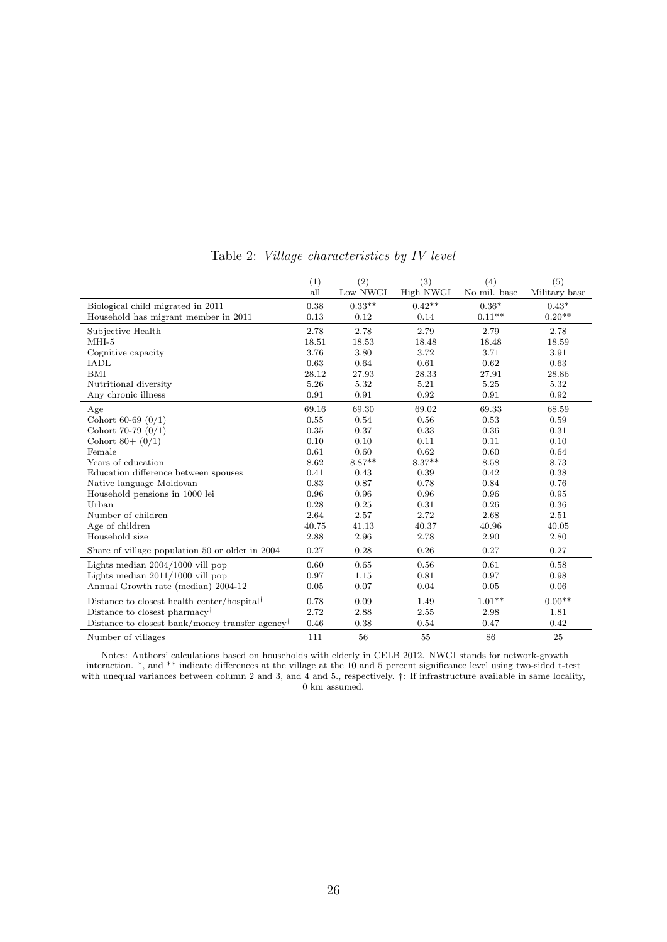<span id="page-26-0"></span>

|                                                             | (1)<br>all | (2)<br>Low NWGI | (3)<br>High NWGI | (4)<br>No mil. base | (5)<br>Military base |
|-------------------------------------------------------------|------------|-----------------|------------------|---------------------|----------------------|
| Biological child migrated in 2011                           | 0.38       | $0.33**$        | $0.42**$         | $0.36*$             | $0.43*$              |
| Household has migrant member in 2011                        | 0.13       | 0.12            | 0.14             | $0.11**$            | $0.20**$             |
| Subjective Health                                           | 2.78       | 2.78            | 2.79             | 2.79                | 2.78                 |
| $MHI-5$                                                     | 18.51      | 18.53           | 18.48            | 18.48               | 18.59                |
| Cognitive capacity                                          | 3.76       | 3.80            | 3.72             | 3.71                | 3.91                 |
| IADL                                                        | 0.63       | 0.64            | 0.61             | 0.62                | 0.63                 |
| <b>BMI</b>                                                  | 28.12      | 27.93           | 28.33            | 27.91               | 28.86                |
| Nutritional diversity                                       | 5.26       | 5.32            | 5.21             | 5.25                | 5.32                 |
| Any chronic illness                                         | 0.91       | 0.91            | 0.92             | 0.91                | 0.92                 |
| Age                                                         | 69.16      | 69.30           | 69.02            | 69.33               | 68.59                |
| Cohort $60-69$ $(0/1)$                                      | 0.55       | 0.54            | 0.56             | 0.53                | 0.59                 |
| Cohort 70-79 $(0/1)$                                        | 0.35       | 0.37            | 0.33             | 0.36                | 0.31                 |
| Cohort $80 + (0/1)$                                         | 0.10       | 0.10            | 0.11             | 0.11                | 0.10                 |
| Female                                                      | 0.61       | 0.60            | 0.62             | 0.60                | 0.64                 |
| Years of education                                          | 8.62       | $8.87**$        | $8.37**$         | 8.58                | 8.73                 |
| Education difference between spouses                        | 0.41       | 0.43            | 0.39             | 0.42                | 0.38                 |
| Native language Moldovan                                    | 0.83       | 0.87            | 0.78             | 0.84                | 0.76                 |
| Household pensions in 1000 lei                              | 0.96       | 0.96            | 0.96             | 0.96                | 0.95                 |
| Urban                                                       | 0.28       | 0.25            | 0.31             | 0.26                | 0.36                 |
| Number of children                                          | 2.64       | 2.57            | 2.72             | 2.68                | 2.51                 |
| Age of children                                             | 40.75      | 41.13           | 40.37            | 40.96               | 40.05                |
| Household size                                              | 2.88       | 2.96            | 2.78             | 2.90                | 2.80                 |
| Share of village population 50 or older in 2004             | 0.27       | 0.28            | 0.26             | 0.27                | 0.27                 |
| Lights median $2004/1000$ vill pop                          | 0.60       | 0.65            | 0.56             | 0.61                | 0.58                 |
| Lights median $2011/1000$ vill pop                          | 0.97       | 1.15            | 0.81             | 0.97                | 0.98                 |
| Annual Growth rate (median) 2004-12                         | 0.05       | 0.07            | 0.04             | 0.05                | 0.06                 |
| Distance to closest health center/hospital <sup>†</sup>     | 0.78       | 0.09            | 1.49             | $1.01**$            | $0.00**$             |
| Distance to closest pharmacy <sup>†</sup>                   | 2.72       | 2.88            | 2.55             | 2.98                | 1.81                 |
| Distance to closest bank/money transfer agency <sup>†</sup> | 0.46       | 0.38            | 0.54             | 0.47                | 0.42                 |
| Number of villages                                          | 111        | 56              | 55               | 86                  | 25                   |

### Table 2: Village characteristics by IV level

Notes: Authors' calculations based on households with elderly in CELB 2012. NWGI stands for network-growth interaction. \*, and \*\* indicate differences at the village at the 10 and 5 percent significance level using two-sided t-test with unequal variances between column 2 and 3, and 4 and 5., respectively.  $\dagger$ : If infrastructure available in same locality, 0 km assumed.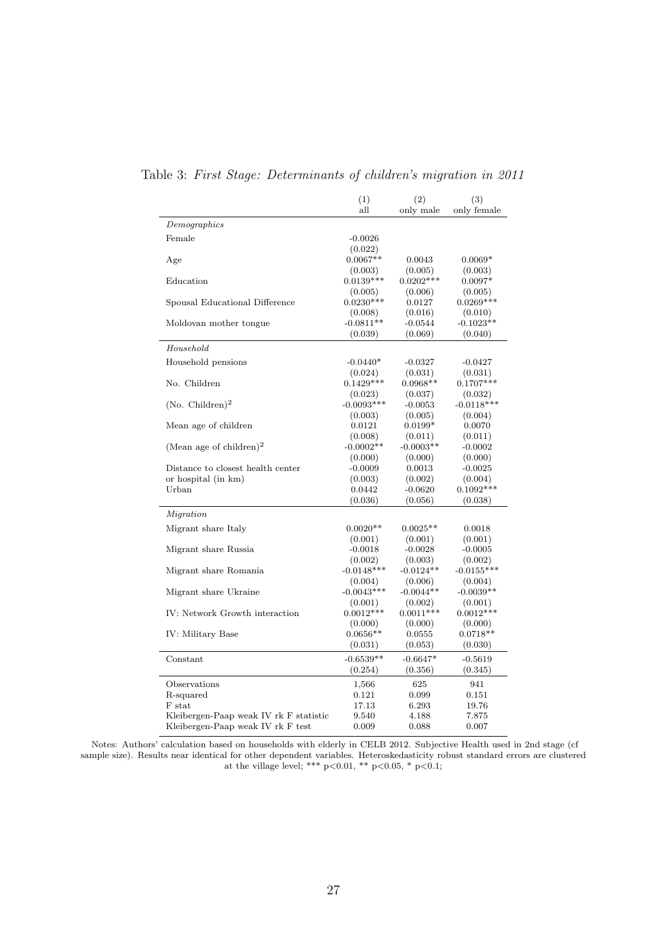|                                        | (1)<br>all             | (2)<br>only male       | (3)<br>only female   |
|----------------------------------------|------------------------|------------------------|----------------------|
| Demographies                           |                        |                        |                      |
| Female                                 | $-0.0026$              |                        |                      |
|                                        | (0.022)                |                        |                      |
|                                        | $0.0067**$             | 0.0043                 | $0.0069*$            |
| Age                                    |                        |                        |                      |
| Education                              | (0.003)<br>$0.0139***$ | (0.005)<br>$0.0202***$ | (0.003)<br>$0.0097*$ |
|                                        | (0.005)                | (0.006)                | (0.005)              |
| Spousal Educational Difference         | $0.0230***$            | 0.0127                 | $0.0269***$          |
|                                        | (0.008)                | (0.016)                | (0.010)              |
| Moldovan mother tongue                 | $-0.0811**$            | $-0.0544$              | $-0.1023**$          |
|                                        | (0.039)                | (0.069)                | (0.040)              |
|                                        |                        |                        |                      |
| Household                              |                        |                        |                      |
| Household pensions                     | $-0.0440*$             | $-0.0327$              | $-0.0427$            |
|                                        | (0.024)                | (0.031)                | (0.031)              |
| No. Children                           | $0.1429***$            | $0.0968**$             | $0.1707***$          |
|                                        | (0.023)                | (0.037)                | (0.032)              |
| (No. Children) $^2$                    | $-0.0093***$           | $-0.0053$              | $-0.0118***$         |
|                                        | (0.003)                | (0.005)                | (0.004)              |
| Mean age of children                   | 0.0121                 | $0.0199*$              | 0.0070               |
|                                        | (0.008)                | (0.011)                | (0.011)              |
| (Mean age of children) <sup>2</sup>    | $-0.0002**$            | $-0.0003**$            | $-0.0002$            |
|                                        | (0.000)                | (0.000)                | (0.000)              |
| Distance to closest health center      | $-0.0009$              | 0.0013                 | $-0.0025$            |
| or hospital (in km)                    | (0.003)                | (0.002)                | (0.004)              |
| Urban                                  | 0.0442                 | $-0.0620$              | $0.1092***$          |
|                                        | (0.036)                | (0.056)                | (0.038)              |
| Migration                              |                        |                        |                      |
| Migrant share Italy                    | $0.0020**$             | $0.0025**$             | 0.0018               |
|                                        | (0.001)                | (0.001)                | (0.001)              |
| Migrant share Russia                   | $-0.0018$              | $-0.0028$              | $-0.0005$            |
|                                        | (0.002)                | (0.003)                | (0.002)              |
| Migrant share Romania                  | $-0.0148***$           | $-0.0124**$            | $-0.0155***$         |
|                                        | (0.004)                | (0.006)                | (0.004)              |
| Migrant share Ukraine                  | $-0.0043***$           | $-0.0044**$            | $-0.0039**$          |
|                                        | (0.001)                | (0.002)                | (0.001)              |
| IV: Network Growth interaction         | $0.0012***$            | $0.0011***$            | $0.0012***$          |
|                                        | (0.000)                | (0.000)                | (0.000)              |
| IV: Military Base                      | $0.0656**$             | 0.0555                 | $0.0718**$           |
|                                        | (0.031)                | (0.053)                | (0.030)              |
| Constant                               | $-0.6539**$            | $-0.6647*$             | $-0.5619$            |
|                                        |                        |                        |                      |
|                                        | (0.254)                | (0.356)                | (0.345)              |
| Observations                           | 1,566                  | 625                    | 941                  |
| R-squared                              | 0.121                  | 0.099                  | 0.151                |
| F stat                                 | 17.13                  | 6.293                  | 19.76                |
| Kleibergen-Paap weak IV rk F statistic | 9.540                  | 4.188                  | 7.875                |
| Kleibergen-Paap weak IV rk F test      | 0.009                  | 0.088                  | 0.007                |

<span id="page-27-0"></span>Table 3: First Stage: Determinants of children's migration in 2011

Notes: Authors' calculation based on households with elderly in CELB 2012. Subjective Health used in 2nd stage (cf sample size). Results near identical for other dependent variables. Heteroskedasticity robust standard errors are clustered at the village level; \*\*\*  $p<0.01$ , \*\*  $p<0.05$ , \*  $p<0.1$ ;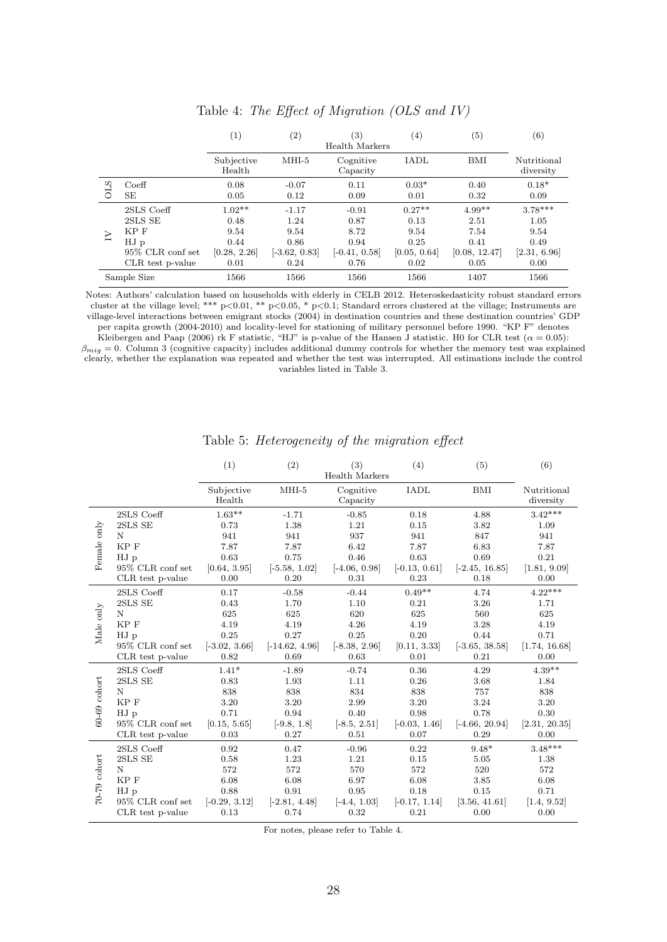<span id="page-28-0"></span>

|            |                   | $\left( 1\right)$    | $\left( 2\right)$ | $\left( 3\right)$<br>Health Markers | (4)          | (5)           | (6)                      |
|------------|-------------------|----------------------|-------------------|-------------------------------------|--------------|---------------|--------------------------|
|            |                   | Subjective<br>Health | MHI-5             | Cognitive<br>Capacity               | IADL         | BMI           | Nutritional<br>diversity |
| <b>CLS</b> | Co <sub>eff</sub> | 0.08                 | $-0.07$           | 0.11                                | $0.03*$      | 0.40          | $0.18*$                  |
|            | SЕ                | 0.05                 | 0.12              | 0.09                                | 0.01         | 0.32          | 0.09                     |
|            | 2SLS Coeff        | $1.02**$             | $-1.17$           | $-0.91$                             | $0.27**$     | $4.99**$      | $3.78***$                |
|            | 2SLS SE           | 0.48                 | 1.24              | 0.87                                | 0.13         | 2.51          | 1.05                     |
| $\geq$     | KP F              | 9.54                 | 9.54              | 8.72                                | 9.54         | 7.54          | 9.54                     |
|            | HJp               | 0.44                 | 0.86              | 0.94                                | 0.25         | 0.41          | 0.49                     |
|            | 95% CLR conf set  | [0.28, 2.26]         | $[-3.62, 0.83]$   | $[-0.41, 0.58]$                     | [0.05, 0.64] | [0.08, 12.47] | [2.31, 6.96]             |
|            | CLR test p-value  | 0.01                 | 0.24              | 0.76                                | 0.02         | 0.05          | 0.00                     |
|            | Sample Size       | 1566                 | 1566              | 1566                                | 1566         | 1407          | 1566                     |

#### Table 4: The Effect of Migration (OLS and IV)

Notes: Authors' calculation based on households with elderly in CELB 2012. Heteroskedasticity robust standard errors cluster at the village level; \*\*\* p<0.01, \*\* p<0.05, \* p<0.1; Standard errors clustered at the village; Instruments are village-level interactions between emigrant stocks (2004) in destination countries and these destination countries' GDP

per capita growth (2004-2010) and locality-level for stationing of military personnel before 1990. "KP F" denotes [Kleibergen and Paap](#page-21-18) [\(2006\)](#page-21-18) rk F statistic, "HJ" is p-value of the Hansen J statistic. H0 for CLR test ( $\alpha = 0.05$ ):  $\beta_{mig} = 0$ . Column 3 (cognitive capacity) includes additional dummy controls for whether the memory test was explained clearly, whether the explanation was repeated and whether the test was interrupted. All estimations include the control variables listed in Table [3.](#page-27-0)

<span id="page-28-1"></span>

|              |                  | (1)                  | (2)              | (3)<br><b>Health Markers</b> | (4)             | (5)              | (6)                      |
|--------------|------------------|----------------------|------------------|------------------------------|-----------------|------------------|--------------------------|
|              |                  | Subjective<br>Health | $MHI-5$          | Cognitive<br>Capacity        | <b>IADL</b>     | BMI              | Nutritional<br>diversity |
| Female only  | 2SLS Coeff       | $1.63**$             | $-1.71$          | $-0.85$                      | 0.18            | 4.88             | $3.42***$                |
|              | 2SLS SE          | 0.73                 | 1.38             | 1.21                         | 0.15            | 3.82             | 1.09                     |
|              | N                | 941                  | 941              | 937                          | 941             | 847              | 941                      |
|              | KP F             | 7.87                 | 7.87             | 6.42                         | 7.87            | 6.83             | 7.87                     |
|              | HJ p             | 0.63                 | 0.75             | 0.46                         | 0.63            | 0.69             | 0.21                     |
|              | 95% CLR conf set | [0.64, 3.95]         | $[-5.58, 1.02]$  | $[-4.06, 0.98]$              | $[-0.13, 0.61]$ | $[-2.45, 16.85]$ | [1.81, 9.09]             |
|              | CLR test p-value | 0.00                 | 0.20             | 0.31                         | 0.23            | 0.18             | 0.00                     |
| Male only    | 2SLS Coeff       | 0.17                 | $-0.58$          | $-0.44$                      | $0.49**$        | 4.74             | $4.22***$                |
|              | 2SLS SE          | 0.43                 | 1.70             | 1.10                         | 0.21            | 3.26             | 1.71                     |
|              | N                | 625                  | 625              | 620                          | 625             | 560              | 625                      |
|              | KP F             | 4.19                 | 4.19             | 4.26                         | 4.19            | 3.28             | 4.19                     |
|              | HJ p             | 0.25                 | 0.27             | 0.25                         | 0.20            | 0.44             | 0.71                     |
|              | 95% CLR conf set | $[-3.02, 3.66]$      | $[-14.62, 4.96]$ | $[-8.38, 2.96]$              | [0.11, 3.33]    | $[-3.65, 38.58]$ | [1.74, 16.68]            |
|              | CLR test p-value | 0.82                 | 0.69             | 0.63                         | 0.01            | 0.21             | 0.00                     |
| 50-69 cohort | 2SLS Coeff       | $1.41*$              | $-1.89$          | $-0.74$                      | 0.36            | 4.29             | $4.39**$                 |
|              | 2SLS SE          | 0.83                 | 1.93             | 1.11                         | 0.26            | 3.68             | 1.84                     |
|              | N                | 838                  | 838              | 834                          | 838             | 757              | 838                      |
|              | KP F             | 3.20                 | 3.20             | 2.99                         | 3.20            | 3.24             | 3.20                     |
|              | HJ p             | 0.71                 | 0.94             | 0.40                         | 0.98            | 0.78             | 0.30                     |
|              | 95% CLR conf set | [0.15, 5.65]         | $[-9.8, 1.8]$    | $[-8.5, 2.51]$               | $[-0.03, 1.46]$ | $[-4.66, 20.94]$ | [2.31, 20.35]            |
|              | CLR test p-value | 0.03                 | 0.27             | 0.51                         | 0.07            | 0.29             | 0.00                     |
| 70-79 cohort | 2SLS Coeff       | 0.92                 | 0.47             | $-0.96$                      | 0.22            | $9.48*$          | $3.48***$                |
|              | 2SLS SE          | 0.58                 | 1.23             | 1.21                         | 0.15            | 5.05             | 1.38                     |
|              | N                | 572                  | 572              | 570                          | 572             | 520              | 572                      |
|              | KP F             | 6.08                 | 6.08             | 6.97                         | 6.08            | 3.85             | 6.08                     |
|              | HJ p             | 0.88                 | 0.91             | 0.95                         | 0.18            | 0.15             | 0.71                     |
|              | 95% CLR conf set | $[-0.29, 3.12]$      | $[-2.81, 4.48]$  | $[-4.4, 1.03]$               | $[-0.17, 1.14]$ | [3.56, 41.61]    | [1.4, 9.52]              |
|              | CLR test p-value | 0.13                 | 0.74             | 0.32                         | 0.21            | 0.00             | 0.00                     |

#### Table 5: Heterogeneity of the migration effect

For notes, please refer to Table [4.](#page-28-0)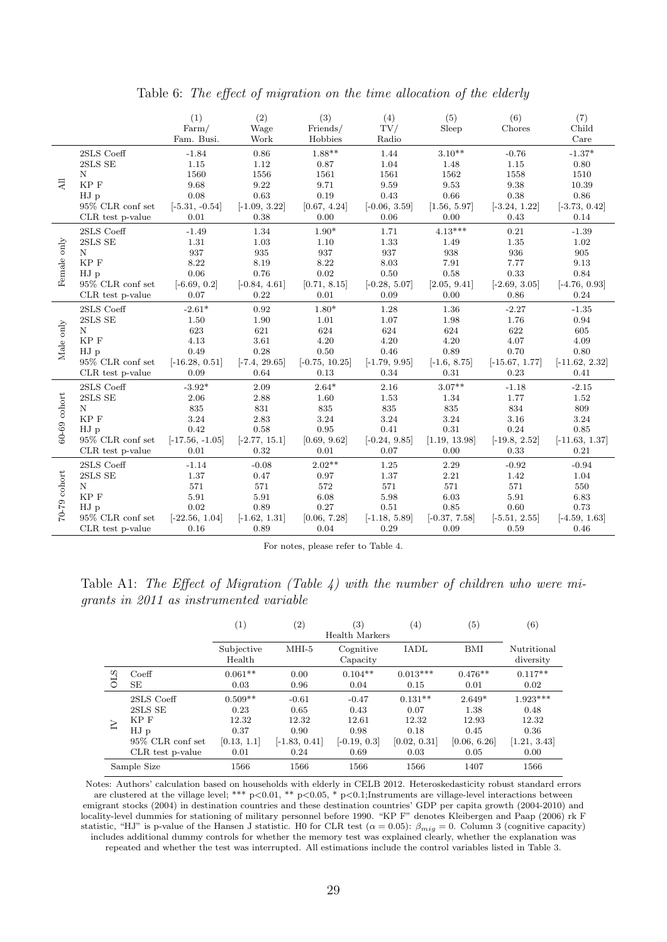|  |  | Table 6: The effect of migration on the time allocation of the elderly |  |  |  |
|--|--|------------------------------------------------------------------------|--|--|--|
|  |  |                                                                        |  |  |  |

<span id="page-29-0"></span>

|                |                     | (1)<br>Farm/<br>Fam. Busi. | (2)<br>Wage<br>Work | (3)<br>Friends/<br>Hobbies | (4)<br>TV/<br>Radio | (5)<br>Sleep    | (6)<br>Chores    | (7)<br>Child<br>Care |
|----------------|---------------------|----------------------------|---------------------|----------------------------|---------------------|-----------------|------------------|----------------------|
| $\overline{A}$ | 2SLS Coeff          | $-1.84$                    | 0.86                | $1.88**$                   | 1.44                | $3.10**$        | $-0.76$          | $-1.37*$             |
|                | 2SLS SE             | 1.15                       | 1.12                | 0.87                       | 1.04                | 1.48            | 1.15             | 0.80                 |
|                | N                   | 1560                       | 1556                | 1561                       | 1561                | 1562            | 1558             | 1510                 |
|                | KP F                | 9.68                       | 9.22                | 9.71                       | 9.59                | 9.53            | 9.38             | 10.39                |
|                | HJ p                | 0.08                       | 0.63                | 0.19                       | 0.43                | 0.66            | 0.38             | 0.86                 |
|                | 95% CLR conf set    | $[-5.31, -0.54]$           | $[-1.09, 3.22]$     | [0.67, 4.24]               | $[-0.06, 3.59]$     | [1.56, 5.97]    | $[-3.24, 1.22]$  | $[-3.73, 0.42]$      |
|                | CLR test p-value    | 0.01                       | 0.38                | 0.00                       | 0.06                | 0.00            | 0.43             | 0.14                 |
| Female only    | 2SLS Coeff          | $-1.49$                    | 1.34                | $1.90*$                    | 1.71                | $4.13***$       | 0.21             | $-1.39$              |
|                | 2SLS SE             | 1.31                       | 1.03                | 1.10                       | 1.33                | 1.49            | 1.35             | 1.02                 |
|                | $\mathbf N$         | 937                        | 935                 | 937                        | 937                 | 938             | 936              | 905                  |
|                | KP F                | 8.22                       | 8.19                | 8.22                       | 8.03                | 7.91            | 7.77             | 9.13                 |
|                | HJ p                | 0.06                       | 0.76                | 0.02                       | 0.50                | 0.58            | 0.33             | 0.84                 |
|                | 95% CLR conf set    | $[-6.69, 0.2]$             | $[-0.84, 4.61]$     | [0.71, 8.15]               | $[-0.28, 5.07]$     | [2.05, 9.41]    | $[-2.69, 3.05]$  | $[-4.76, 0.93]$      |
|                | CLR test p-value    | 0.07                       | 0.22                | 0.01                       | 0.09                | 0.00            | 0.86             | 0.24                 |
| Male only      | 2SLS Coeff          | $-2.61*$                   | 0.92                | $1.80*$                    | 1.28                | 1.36            | $-2.27$          | $-1.35$              |
|                | 2SLS SE             | 1.50                       | 1.90                | 1.01                       | 1.07                | 1.98            | 1.76             | 0.94                 |
|                | N                   | 623                        | 621                 | 624                        | 624                 | 624             | 622              | 605                  |
|                | KP F                | 4.13                       | 3.61                | 4.20                       | 4.20                | 4.20            | 4.07             | 4.09                 |
|                | HJ p                | 0.49                       | 0.28                | 0.50                       | 0.46                | 0.89            | 0.70             | 0.80                 |
|                | 95% CLR conf set    | $[-16.28, 0.51]$           | $[-7.4, 29.65]$     | $[-0.75, 10.25]$           | $[-1.79, 9.95]$     | $[-1.6, 8.75]$  | $[-15.67, 1.77]$ | $[-11.62, 2.32]$     |
|                | CLR test p-value    | 0.09                       | 0.64                | 0.13                       | 0.34                | 0.31            | 0.23             | 0.41                 |
| $60-69$ cohort | 2SLS Coeff          | $-3.92*$                   | 2.09                | $2.64*$                    | 2.16                | $3.07**$        | $-1.18$          | $-2.15$              |
|                | 2SLS SE             | 2.06                       | 2.88                | 1.60                       | 1.53                | 1.34            | 1.77             | 1.52                 |
|                | N                   | 835                        | 831                 | 835                        | 835                 | 835             | 834              | 809                  |
|                | KP F                | 3.24                       | 2.83                | 3.24                       | 3.24                | 3.24            | 3.16             | 3.24                 |
|                | HJ p                | 0.42                       | 0.58                | 0.95                       | 0.41                | 0.31            | 0.24             | 0.85                 |
|                | $95\%$ CLR conf set | $[-17.56, -1.05]$          | $[-2.77, 15.1]$     | [0.69, 9.62]               | $[-0.24, 9.85]$     | [1.19, 13.98]   | $[-19.8, 2.52]$  | $[-11.63, 1.37]$     |
|                | CLR test p-value    | 0.01                       | 0.32                | 0.01                       | 0.07                | 0.00            | 0.33             | 0.21                 |
| $70-79$ cohort | 2SLS Coeff          | $-1.14$                    | $-0.08$             | $2.02**$                   | 1.25                | 2.29            | $-0.92$          | $-0.94$              |
|                | 2SLS SE             | 1.37                       | 0.47                | 0.97                       | 1.37                | 2.21            | 1.42             | 1.04                 |
|                | N                   | 571                        | 571                 | 572                        | 571                 | 571             | 571              | 550                  |
|                | KP F                | 5.91                       | 5.91                | 6.08                       | 5.98                | 6.03            | 5.91             | 6.83                 |
|                | HJ p                | 0.02                       | 0.89                | 0.27                       | 0.51                | 0.85            | 0.60             | 0.73                 |
|                | 95% CLR conf set    | $[-22.56, 1.04]$           | $[-1.62, 1.31]$     | [0.06, 7.28]               | $[-1.18, 5.89]$     | $[-0.37, 7.58]$ | $[-5.51, 2.55]$  | $[-4.59, 1.63]$      |
|                | CLR test p-value    | 0.16                       | 0.89                | 0.04                       | 0.29                | 0.09            | 0.59             | 0.46                 |

For notes, please refer to Table [4.](#page-28-0)

<span id="page-29-1"></span>Table A1: The Effect of Migration (Table [4\)](#page-28-0) with the number of children who were migrants in 2011 as instrumented variable

|            |                                                                               | $\left(1\right)$                                          | $\left( 2\right)$                                           | (3)<br>Health Markers                                      | (4)                                                        | (5)                                                       | $\left( 6\right)$                                           |
|------------|-------------------------------------------------------------------------------|-----------------------------------------------------------|-------------------------------------------------------------|------------------------------------------------------------|------------------------------------------------------------|-----------------------------------------------------------|-------------------------------------------------------------|
|            |                                                                               | Subjective<br>Health                                      | $MHI-5$                                                     | Cognitive<br>Capacity                                      | <b>IADL</b>                                                | <b>BMI</b>                                                | Nutritional<br>diversity                                    |
| <b>CLS</b> | Coeff<br><b>SE</b>                                                            | $0.061**$<br>0.03                                         | 0.00<br>0.96                                                | $0.104**$<br>0.04                                          | $0.013***$<br>0.15                                         | $0.476**$<br>0.01                                         | $0.117**$<br>0.02                                           |
| $\geq$     | 2SLS Coeff<br>2SLS SE<br>KP F<br>HJ p<br>95% CLR conf set<br>CLR test p-value | $0.509**$<br>0.23<br>12.32<br>0.37<br>[0.13, 1.1]<br>0.01 | $-0.61$<br>0.65<br>12.32<br>0.90<br>$[-1.83, 0.41]$<br>0.24 | $-0.47$<br>0.43<br>12.61<br>0.98<br>$[-0.19, 0.3]$<br>0.69 | $0.131**$<br>0.07<br>12.32<br>0.18<br>[0.02, 0.31]<br>0.03 | $2.649*$<br>1.38<br>12.93<br>0.45<br>[0.06, 6.26]<br>0.05 | $1.923***$<br>0.48<br>12.32<br>0.36<br>[1.21, 3.43]<br>0.00 |
|            | Sample Size                                                                   | 1566                                                      | 1566                                                        | 1566                                                       | 1566                                                       | 1407                                                      | 1566                                                        |

Notes: Authors' calculation based on households with elderly in CELB 2012. Heteroskedasticity robust standard errors are clustered at the village level; \*\*\* p<0.01, \*\* p<0.05, \* p<0.1;Instruments are village-level interactions between emigrant stocks (2004) in destination countries and these destination countries' GDP per capita growth (2004-2010) and locality-level dummies for stationing of military personnel before 1990. "KP F" denotes [Kleibergen and Paap](#page-21-18) [\(2006\)](#page-21-18) rk F statistic, "HJ" is p-value of the Hansen J statistic. H0 for CLR test ( $\alpha = 0.05$ ):  $\beta_{mig} = 0$ . Column 3 (cognitive capacity) includes additional dummy controls for whether the memory test was explained clearly, whether the explanation was repeated and whether the test was interrupted. All estimations include the control variables listed in Table [3.](#page-27-0)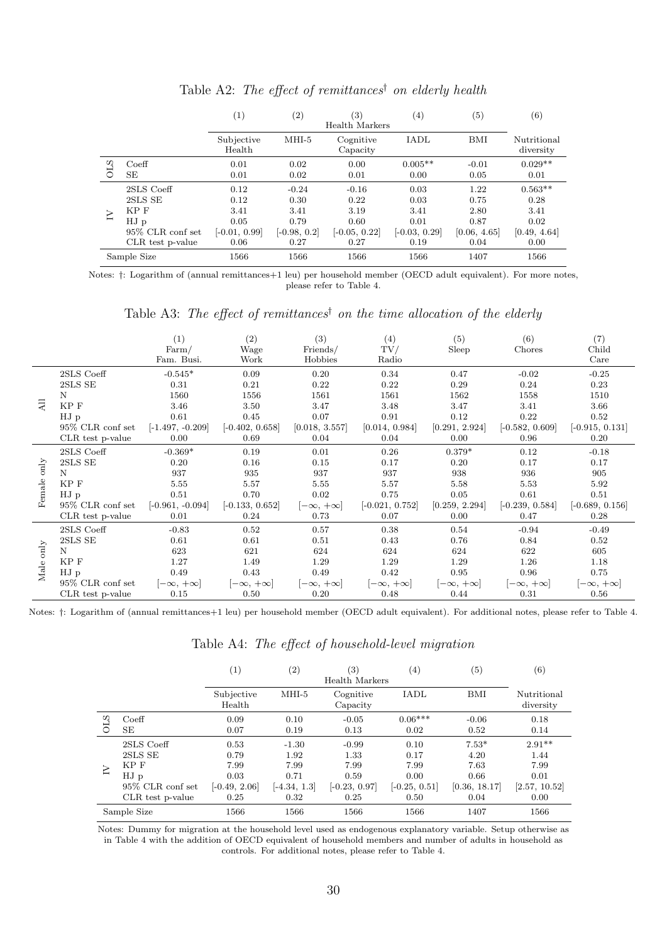<span id="page-30-0"></span>

|        |                                                                                           | $\left( 1\right)$                                       | $\left( 2\right)$                                         | (3)<br>Health Markers                                      | $\left( 4\right)$                                       | $\left( 5\right)$                                    | (6)                                                       |
|--------|-------------------------------------------------------------------------------------------|---------------------------------------------------------|-----------------------------------------------------------|------------------------------------------------------------|---------------------------------------------------------|------------------------------------------------------|-----------------------------------------------------------|
|        |                                                                                           | Subjective<br>Health                                    | $MHI-5$                                                   | Cognitive<br>Capacity                                      | IADL                                                    | BMI                                                  | Nutritional<br>diversity                                  |
| S<br>Ë | Co <sub>eff</sub><br>SE                                                                   | 0.01<br>0.01                                            | 0.02<br>0.02                                              | 0.00<br>0.01                                               | $0.005**$<br>0.00                                       | $-0.01$<br>0.05                                      | $0.029**$<br>0.01                                         |
| $\geq$ | 2SLS Coeff<br>2SLS SE<br>KP F<br>HJ <sub>p</sub><br>95\% CLR conf set<br>CLR test p-value | 0.12<br>0.12<br>3.41<br>0.05<br>$[-0.01, 0.99]$<br>0.06 | $-0.24$<br>0.30<br>3.41<br>0.79<br>$[-0.98, 0.2]$<br>0.27 | $-0.16$<br>0.22<br>3.19<br>0.60<br>$[-0.05, 0.22]$<br>0.27 | 0.03<br>0.03<br>3.41<br>0.01<br>$[-0.03, 0.29]$<br>0.19 | 1.22<br>0.75<br>2.80<br>0.87<br>[0.06, 4.65]<br>0.04 | $0.563**$<br>0.28<br>3.41<br>0.02<br>[0.49, 4.64]<br>0.00 |
|        | Sample Size                                                                               | 1566                                                    | 1566                                                      | 1566                                                       | 1566                                                    | 1407                                                 | 1566                                                      |

Table A2: The effect of remittances<sup> $\dagger$ </sup> on elderly health

<span id="page-30-1"></span>Notes: †: Logarithm of (annual remittances+1 leu) per household member (OECD adult equivalent). For more notes, please refer to Table [4.](#page-28-0)

Table A3: The effect of remittances<sup>†</sup> on the time allocation of the elderly

|               |                   | (1)<br>Farm/<br>Fam. Busi. | (2)<br>Wage<br>Work | (3)<br>Friends/<br>Hobbies      | (4)<br>TV/<br>Radio   | (5)<br>Sleep       | (6)<br>Chores                   | (7)<br>Child<br>Care  |
|---------------|-------------------|----------------------------|---------------------|---------------------------------|-----------------------|--------------------|---------------------------------|-----------------------|
|               |                   |                            |                     |                                 |                       |                    |                                 |                       |
|               | 2SLS Coeff        | $-0.545*$                  | 0.09                | 0.20                            | 0.34                  | 0.47               | $-0.02$                         | $-0.25$               |
|               | 2SLS SE           | 0.31                       | 0.21                | 0.22                            | 0.22                  | 0.29               | 0.24                            | 0.23                  |
|               | N                 | 1560                       | 1556                | 1561                            | 1561                  | 1562               | 1558                            | 1510                  |
| $\Xi$         | KP F              | 3.46                       | 3.50                | 3.47                            | 3.48                  | 3.47               | 3.41                            | 3.66                  |
|               | HJ p              | 0.61                       | 0.45                | 0.07                            | 0.91                  | 0.12               | 0.22                            | 0.52                  |
|               | 95\% CLR conf set | $[-1.497, -0.209]$         | $[-0.402, 0.658]$   | [0.018, 3.557]                  | [0.014, 0.984]        | [0.291, 2.924]     | $[-0.582, 0.609]$               | $[-0.915, 0.131]$     |
|               | CLR test p-value  | 0.00                       | 0.69                | 0.04                            | 0.04                  | 0.00               | 0.96                            | 0.20                  |
|               | 2SLS Coeff        | $-0.369*$                  | 0.19                | 0.01                            | 0.26                  | $0.379*$           | 0.12                            | $-0.18$               |
| only          | 2SLS SE           | 0.20                       | 0.16                | 0.15                            | 0.17                  | 0.20               | 0.17                            | 0.17                  |
|               | N                 | 937                        | 935                 | 937                             | 937                   | 938                | 936                             | 905                   |
|               | KP F              | 5.55                       | 5.57                | 5.55                            | 5.57                  | 5.58               | 5.53                            | 5.92                  |
| Female        | HJ p              | 0.51                       | 0.70                | 0.02                            | 0.75                  | 0.05               | 0.61                            | 0.51                  |
|               | 95\% CLR conf set | $[-0.961, -0.094]$         | $[-0.133, 0.652]$   | $\left[-\infty, +\infty\right]$ | $[-0.021, 0.752]$     | [0.259, 2.294]     | $[-0.239, 0.584]$               | $[-0.689, 0.156]$     |
|               | CLR test p-value  | 0.01                       | 0.24                | 0.73                            | 0.07                  | 0.00               | 0.47                            | 0.28                  |
|               | 2SLS Coeff        | $-0.83$                    | 0.52                | 0.57                            | 0.38                  | 0.54               | $-0.94$                         | $-0.49$               |
|               | 2SLS SE           | 0.61                       | 0.61                | 0.51                            | 0.43                  | 0.76               | 0.84                            | 0.52                  |
| $_{\rm only}$ | N                 | 623                        | 621                 | 624                             | 624                   | 624                | 622                             | 605                   |
|               | KP F              | 1.27                       | 1.49                | 1.29                            | 1.29                  | 1.29               | 1.26                            | 1.18                  |
| Male          | HJ p              | 0.49                       | 0.43                | 0.49                            | 0.42                  | 0.95               | 0.96                            | 0.75                  |
|               | 95% CLR conf set  | $-\infty, +\infty$         | $-\infty, +\infty$  | $\left[-\infty, +\infty\right]$ | $-\infty$ , $+\infty$ | $-\infty, +\infty$ | $\left[-\infty, +\infty\right]$ | $-\infty$ , $+\infty$ |
|               | CLR test p-value  | 0.15                       | 0.50                | 0.20                            | 0.48                  | 0.44               | 0.31                            | 0.56                  |

Notes: †: Logarithm of (annual remittances+1 leu) per household member (OECD adult equivalent). For additional notes, please refer to Table [4.](#page-28-0)

#### Table A4: The effect of household-level migration

<span id="page-30-2"></span>

|            |                   | $\left( 1\right)$    | $\left( 2\right)$ | $\left( 3\right)$<br>Health Markers | (4)             | (5)           | (6)                      |
|------------|-------------------|----------------------|-------------------|-------------------------------------|-----------------|---------------|--------------------------|
|            |                   | Subjective<br>Health | $MHI-5$           | Cognitive<br>Capacity               | IADL            | BMI           | Nutritional<br>diversity |
| <b>OLS</b> | Coeff             | 0.09                 | 0.10              | $-0.05$                             | $0.06***$       | $-0.06$       | 0.18                     |
|            | SЕ                | 0.07                 | 0.19              | 0.13                                | 0.02            | 0.52          | 0.14                     |
|            | 2SLS Coeff        | 0.53                 | $-1.30$           | $-0.99$                             | 0.10            | $7.53*$       | $2.91**$                 |
|            | 2SLS SE           | 0.79                 | 1.92              | 1.33                                | 0.17            | 4.20          | 1.44                     |
| $\geq$     | KP F              | 7.99                 | 7.99              | 7.99                                | 7.99            | 7.63          | 7.99                     |
|            | HJ p              | 0.03                 | 0.71              | 0.59                                | 0.00            | 0.66          | 0.01                     |
|            | 95\% CLR conf set | $[-0.49, 2.06]$      | $[-4.34, 1.3]$    | $[-0.23, 0.97]$                     | $[-0.25, 0.51]$ | [0.36, 18.17] | [2.57, 10.52]            |
|            | CLR test p-value  | 0.25                 | 0.32              | 0.25                                | 0.50            | 0.04          | 0.00                     |
|            | Sample Size       | 1566                 | 1566              | 1566                                | 1566            | 1407          | 1566                     |

Notes: Dummy for migration at the household level used as endogenous explanatory variable. Setup otherwise as in Table [4](#page-28-0) with the addition of OECD equivalent of household members and number of adults in household as controls. For additional notes, please refer to Table [4.](#page-28-0)